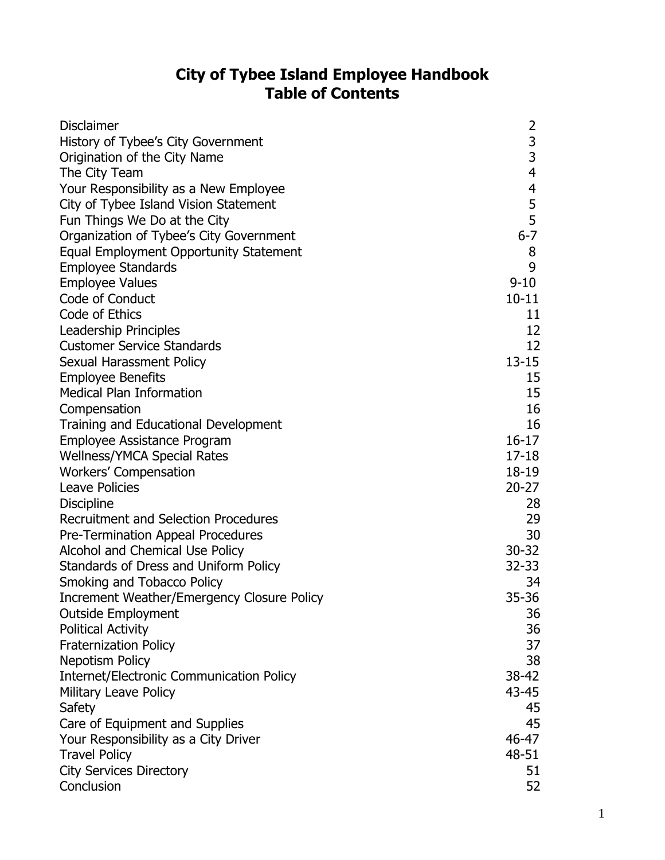## **City of Tybee Island Employee Handbook Table of Contents**

| <b>Disclaimer</b>                                 | 2              |
|---------------------------------------------------|----------------|
| History of Tybee's City Government                | 3              |
| Origination of the City Name                      | $\overline{3}$ |
| The City Team                                     | $\overline{4}$ |
| Your Responsibility as a New Employee             | 4              |
| City of Tybee Island Vision Statement             | $\frac{5}{5}$  |
| Fun Things We Do at the City                      |                |
| Organization of Tybee's City Government           | $6 - 7$        |
| Equal Employment Opportunity Statement            | 8              |
| <b>Employee Standards</b>                         | 9              |
| <b>Employee Values</b>                            | $9 - 10$       |
| Code of Conduct                                   | $10 - 11$      |
| Code of Ethics                                    | 11             |
| Leadership Principles                             | 12             |
| <b>Customer Service Standards</b>                 | 12             |
| Sexual Harassment Policy                          | $13 - 15$      |
| <b>Employee Benefits</b>                          | 15             |
| <b>Medical Plan Information</b>                   | 15             |
| Compensation                                      | 16             |
| Training and Educational Development              | 16             |
| Employee Assistance Program                       | $16 - 17$      |
| <b>Wellness/YMCA Special Rates</b>                | $17 - 18$      |
| Workers' Compensation                             | 18-19          |
| <b>Leave Policies</b>                             | $20 - 27$      |
| <b>Discipline</b>                                 | 28             |
| <b>Recruitment and Selection Procedures</b>       | 29             |
| Pre-Termination Appeal Procedures                 | 30             |
| Alcohol and Chemical Use Policy                   | $30 - 32$      |
| Standards of Dress and Uniform Policy             | $32 - 33$      |
| Smoking and Tobacco Policy                        | 34             |
| <b>Increment Weather/Emergency Closure Policy</b> | 35-36          |
| <b>Outside Employment</b>                         | 36             |
| <b>Political Activity</b>                         | 36             |
| <b>Fraternization Policy</b>                      | 37             |
| <b>Nepotism Policy</b>                            | 38             |
| <b>Internet/Electronic Communication Policy</b>   | $38 - 42$      |
| <b>Military Leave Policy</b>                      | 43-45          |
| Safety                                            | 45             |
| Care of Equipment and Supplies                    | 45             |
| Your Responsibility as a City Driver              | 46-47          |
| <b>Travel Policy</b>                              | 48-51          |
| <b>City Services Directory</b>                    | 51             |
| Conclusion                                        | 52             |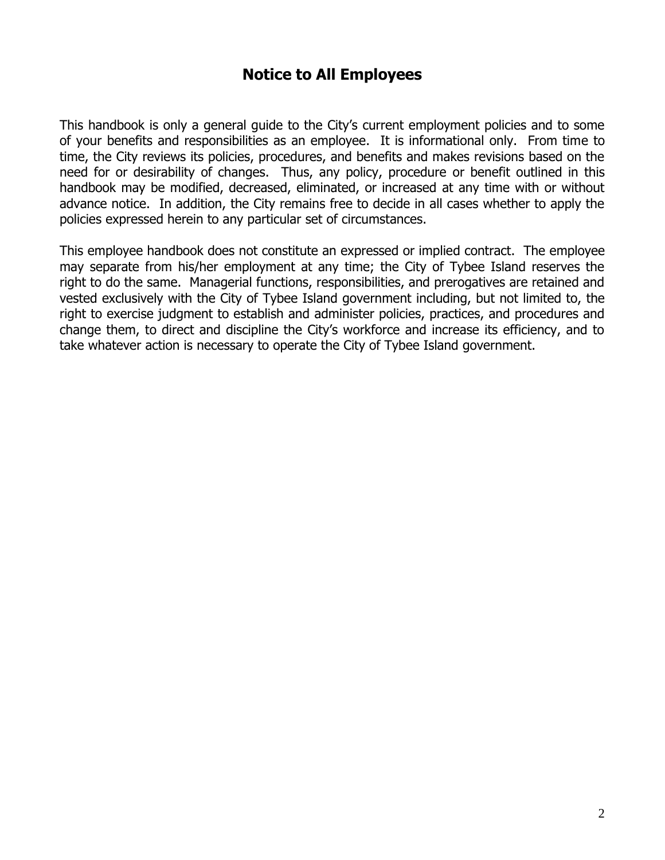## **Notice to All Employees**

This handbook is only a general guide to the City's current employment policies and to some of your benefits and responsibilities as an employee. It is informational only. From time to time, the City reviews its policies, procedures, and benefits and makes revisions based on the need for or desirability of changes. Thus, any policy, procedure or benefit outlined in this handbook may be modified, decreased, eliminated, or increased at any time with or without advance notice. In addition, the City remains free to decide in all cases whether to apply the policies expressed herein to any particular set of circumstances.

This employee handbook does not constitute an expressed or implied contract. The employee may separate from his/her employment at any time; the City of Tybee Island reserves the right to do the same. Managerial functions, responsibilities, and prerogatives are retained and vested exclusively with the City of Tybee Island government including, but not limited to, the right to exercise judgment to establish and administer policies, practices, and procedures and change them, to direct and discipline the City's workforce and increase its efficiency, and to take whatever action is necessary to operate the City of Tybee Island government.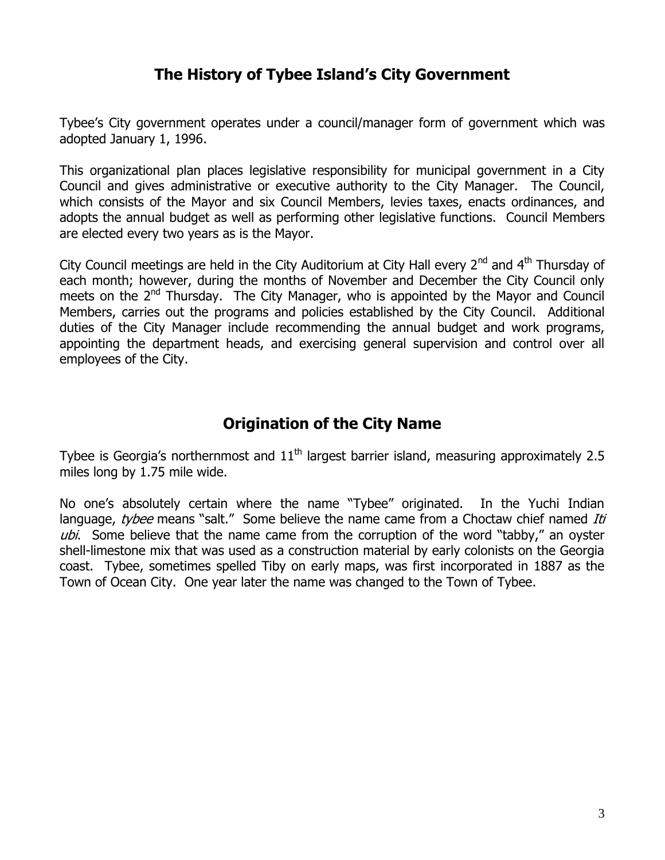## **The History of Tybee Island's City Government**

Tybee's City government operates under a council/manager form of government which was adopted January 1, 1996.

This organizational plan places legislative responsibility for municipal government in a City Council and gives administrative or executive authority to the City Manager. The Council, which consists of the Mayor and six Council Members, levies taxes, enacts ordinances, and adopts the annual budget as well as performing other legislative functions. Council Members are elected every two years as is the Mayor.

City Council meetings are held in the City Auditorium at City Hall every  $2^{nd}$  and  $4^{th}$  Thursday of each month; however, during the months of November and December the City Council only meets on the  $2<sup>nd</sup>$  Thursday. The City Manager, who is appointed by the Mayor and Council Members, carries out the programs and policies established by the City Council. Additional duties of the City Manager include recommending the annual budget and work programs, appointing the department heads, and exercising general supervision and control over all employees of the City.

## **Origination of the City Name**

Tybee is Georgia's northernmost and  $11<sup>th</sup>$  largest barrier island, measuring approximately 2.5 miles long by 1.75 mile wide.

No one's absolutely certain where the name "Tybee" originated. In the Yuchi Indian language, tybee means "salt." Some believe the name came from a Choctaw chief named Iti ubi. Some believe that the name came from the corruption of the word "tabby," an oyster shell-limestone mix that was used as a construction material by early colonists on the Georgia coast. Tybee, sometimes spelled Tiby on early maps, was first incorporated in 1887 as the Town of Ocean City. One year later the name was changed to the Town of Tybee.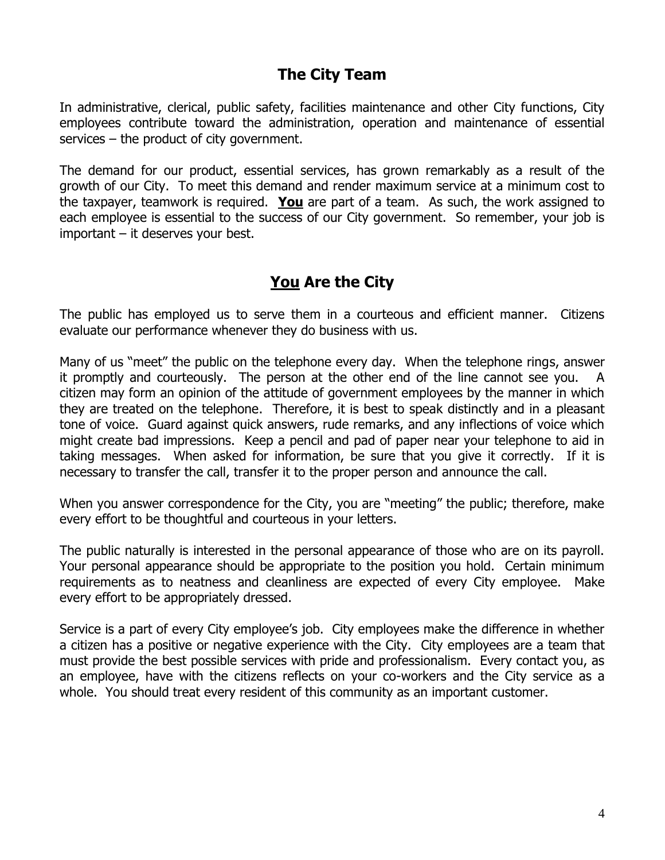## **The City Team**

In administrative, clerical, public safety, facilities maintenance and other City functions, City employees contribute toward the administration, operation and maintenance of essential services – the product of city government.

The demand for our product, essential services, has grown remarkably as a result of the growth of our City. To meet this demand and render maximum service at a minimum cost to the taxpayer, teamwork is required. **You** are part of a team. As such, the work assigned to each employee is essential to the success of our City government. So remember, your job is important – it deserves your best.

# **You Are the City**

The public has employed us to serve them in a courteous and efficient manner. Citizens evaluate our performance whenever they do business with us.

Many of us "meet" the public on the telephone every day. When the telephone rings, answer it promptly and courteously. The person at the other end of the line cannot see you. A citizen may form an opinion of the attitude of government employees by the manner in which they are treated on the telephone. Therefore, it is best to speak distinctly and in a pleasant tone of voice. Guard against quick answers, rude remarks, and any inflections of voice which might create bad impressions. Keep a pencil and pad of paper near your telephone to aid in taking messages. When asked for information, be sure that you give it correctly. If it is necessary to transfer the call, transfer it to the proper person and announce the call.

When you answer correspondence for the City, you are "meeting" the public; therefore, make every effort to be thoughtful and courteous in your letters.

The public naturally is interested in the personal appearance of those who are on its payroll. Your personal appearance should be appropriate to the position you hold. Certain minimum requirements as to neatness and cleanliness are expected of every City employee. Make every effort to be appropriately dressed.

Service is a part of every City employee's job. City employees make the difference in whether a citizen has a positive or negative experience with the City. City employees are a team that must provide the best possible services with pride and professionalism. Every contact you, as an employee, have with the citizens reflects on your co-workers and the City service as a whole. You should treat every resident of this community as an important customer.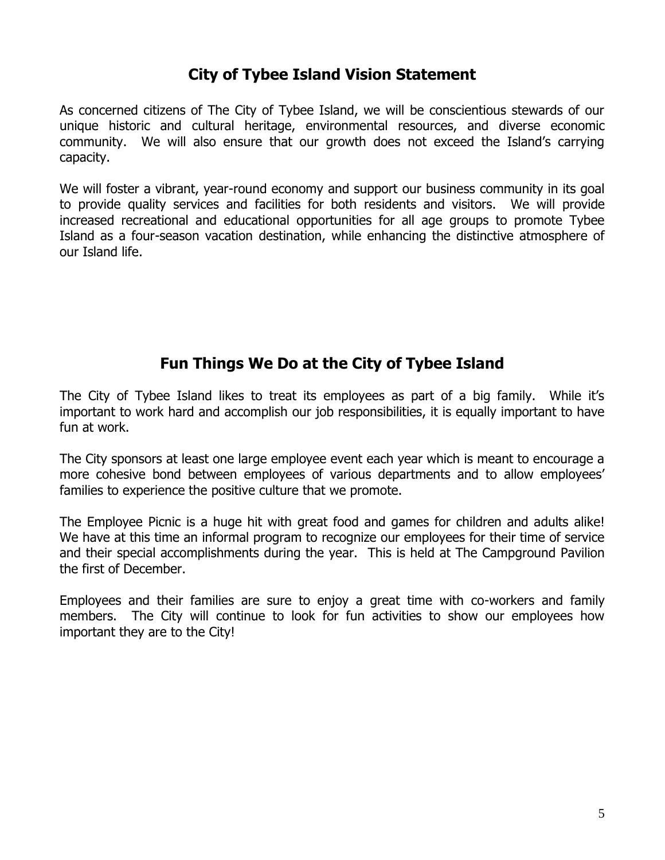## **City of Tybee Island Vision Statement**

As concerned citizens of The City of Tybee Island, we will be conscientious stewards of our unique historic and cultural heritage, environmental resources, and diverse economic community. We will also ensure that our growth does not exceed the Island's carrying capacity.

We will foster a vibrant, year-round economy and support our business community in its goal to provide quality services and facilities for both residents and visitors. We will provide increased recreational and educational opportunities for all age groups to promote Tybee Island as a four-season vacation destination, while enhancing the distinctive atmosphere of our Island life.

## **Fun Things We Do at the City of Tybee Island**

The City of Tybee Island likes to treat its employees as part of a big family. While it's important to work hard and accomplish our job responsibilities, it is equally important to have fun at work.

The City sponsors at least one large employee event each year which is meant to encourage a more cohesive bond between employees of various departments and to allow employees' families to experience the positive culture that we promote.

The Employee Picnic is a huge hit with great food and games for children and adults alike! We have at this time an informal program to recognize our employees for their time of service and their special accomplishments during the year. This is held at The Campground Pavilion the first of December.

Employees and their families are sure to enjoy a great time with co-workers and family members. The City will continue to look for fun activities to show our employees how important they are to the City!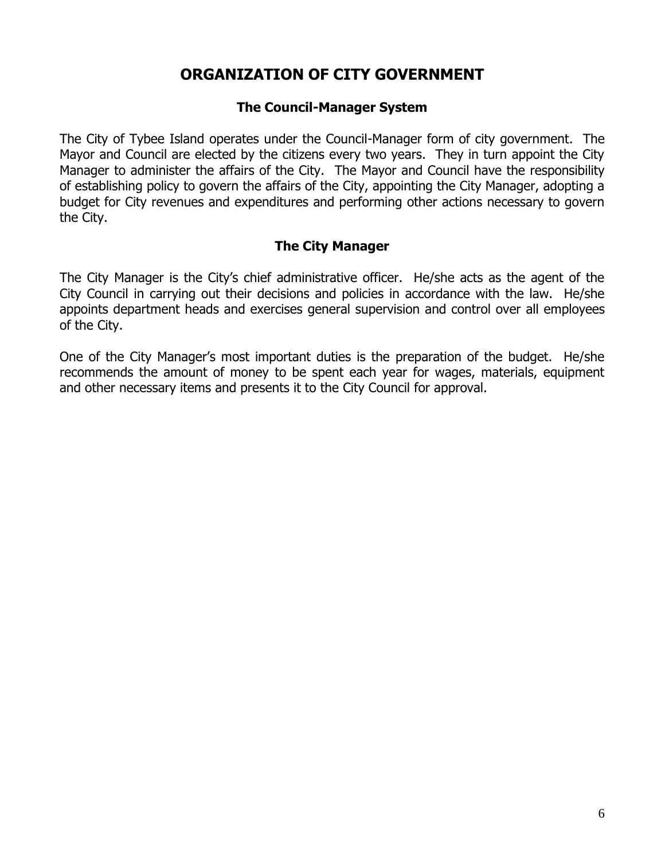## **ORGANIZATION OF CITY GOVERNMENT**

### **The Council-Manager System**

The City of Tybee Island operates under the Council-Manager form of city government. The Mayor and Council are elected by the citizens every two years. They in turn appoint the City Manager to administer the affairs of the City. The Mayor and Council have the responsibility of establishing policy to govern the affairs of the City, appointing the City Manager, adopting a budget for City revenues and expenditures and performing other actions necessary to govern the City.

### **The City Manager**

The City Manager is the City's chief administrative officer. He/she acts as the agent of the City Council in carrying out their decisions and policies in accordance with the law. He/she appoints department heads and exercises general supervision and control over all employees of the City.

One of the City Manager's most important duties is the preparation of the budget. He/she recommends the amount of money to be spent each year for wages, materials, equipment and other necessary items and presents it to the City Council for approval.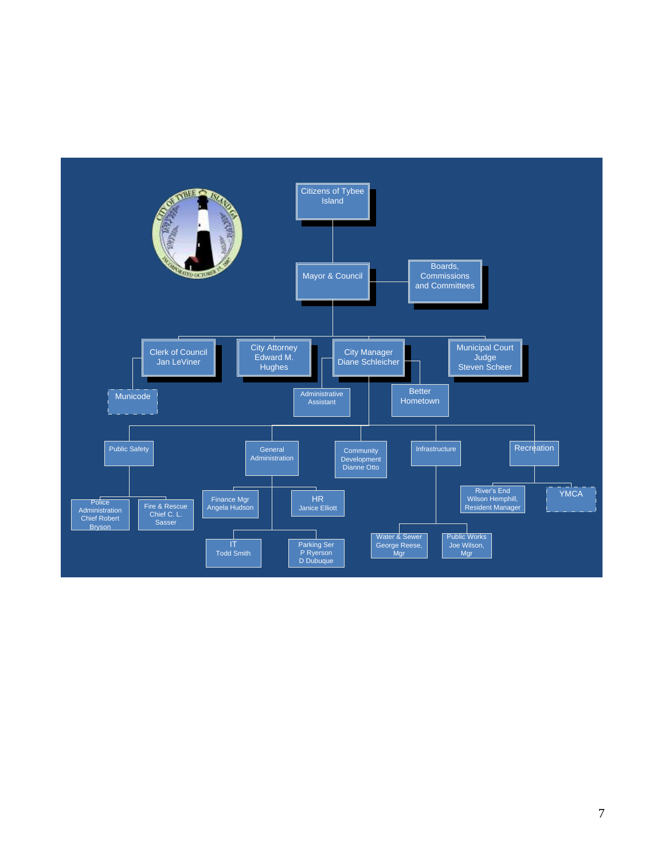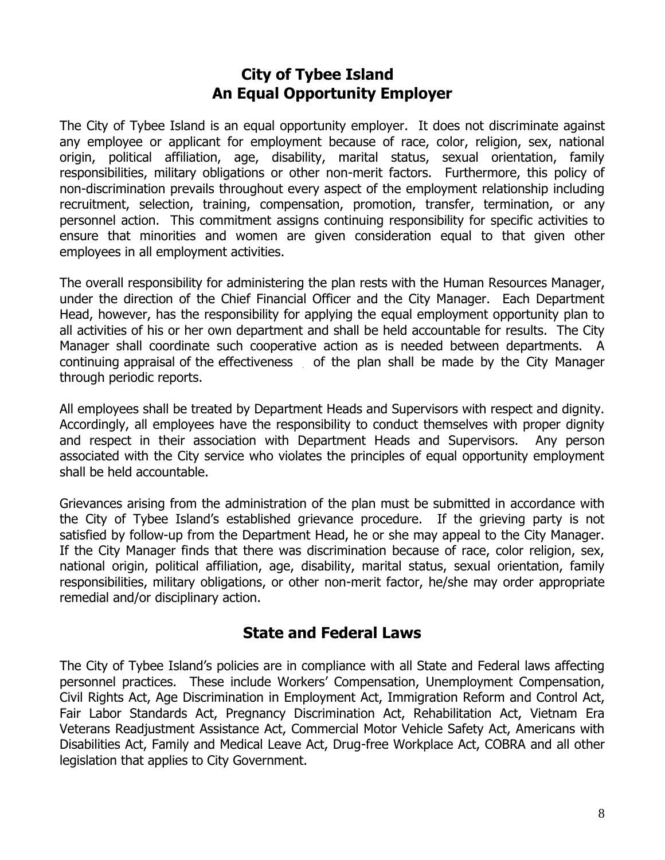## **City of Tybee Island An Equal Opportunity Employer**

The City of Tybee Island is an equal opportunity employer. It does not discriminate against any employee or applicant for employment because of race, color, religion, sex, national origin, political affiliation, age, disability, marital status, sexual orientation, family responsibilities, military obligations or other non-merit factors. Furthermore, this policy of non-discrimination prevails throughout every aspect of the employment relationship including recruitment, selection, training, compensation, promotion, transfer, termination, or any personnel action. This commitment assigns continuing responsibility for specific activities to ensure that minorities and women are given consideration equal to that given other employees in all employment activities.

The overall responsibility for administering the plan rests with the Human Resources Manager, under the direction of the Chief Financial Officer and the City Manager. Each Department Head, however, has the responsibility for applying the equal employment opportunity plan to all activities of his or her own department and shall be held accountable for results. The City Manager shall coordinate such cooperative action as is needed between departments. A continuing appraisal of the effectiveness of the plan shall be made by the City Manager through periodic reports.

All employees shall be treated by Department Heads and Supervisors with respect and dignity. Accordingly, all employees have the responsibility to conduct themselves with proper dignity and respect in their association with Department Heads and Supervisors. Any person associated with the City service who violates the principles of equal opportunity employment shall be held accountable.

Grievances arising from the administration of the plan must be submitted in accordance with the City of Tybee Island's established grievance procedure. If the grieving party is not satisfied by follow-up from the Department Head, he or she may appeal to the City Manager. If the City Manager finds that there was discrimination because of race, color religion, sex, national origin, political affiliation, age, disability, marital status, sexual orientation, family responsibilities, military obligations, or other non-merit factor, he/she may order appropriate remedial and/or disciplinary action.

## **State and Federal Laws**

The City of Tybee Island's policies are in compliance with all State and Federal laws affecting personnel practices. These include Workers' Compensation, Unemployment Compensation, Civil Rights Act, Age Discrimination in Employment Act, Immigration Reform and Control Act, Fair Labor Standards Act, Pregnancy Discrimination Act, Rehabilitation Act, Vietnam Era Veterans Readjustment Assistance Act, Commercial Motor Vehicle Safety Act, Americans with Disabilities Act, Family and Medical Leave Act, Drug-free Workplace Act, COBRA and all other legislation that applies to City Government.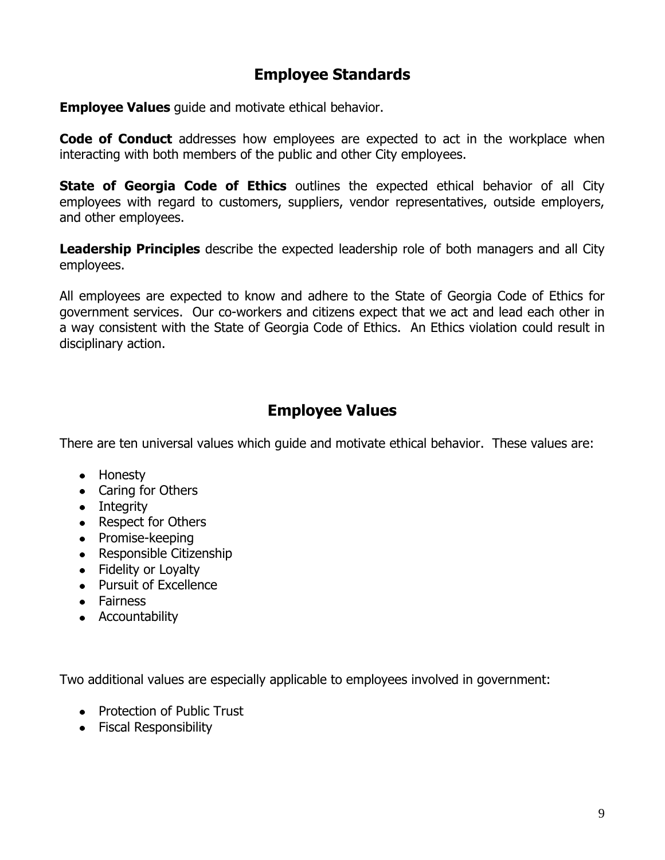## **Employee Standards**

**Employee Values** guide and motivate ethical behavior.

**Code of Conduct** addresses how employees are expected to act in the workplace when interacting with both members of the public and other City employees.

**State of Georgia Code of Ethics** outlines the expected ethical behavior of all City employees with regard to customers, suppliers, vendor representatives, outside employers, and other employees.

**Leadership Principles** describe the expected leadership role of both managers and all City employees.

All employees are expected to know and adhere to the State of Georgia Code of Ethics for government services. Our co-workers and citizens expect that we act and lead each other in a way consistent with the State of Georgia Code of Ethics. An Ethics violation could result in disciplinary action.

## **Employee Values**

There are ten universal values which guide and motivate ethical behavior. These values are:

- Honesty
- Caring for Others
- Integrity
- Respect for Others
- Promise-keeping
- Responsible Citizenship
- Fidelity or Loyalty
- Pursuit of Excellence
- Fairness
- Accountability

Two additional values are especially applicable to employees involved in government:

- Protection of Public Trust
- Fiscal Responsibility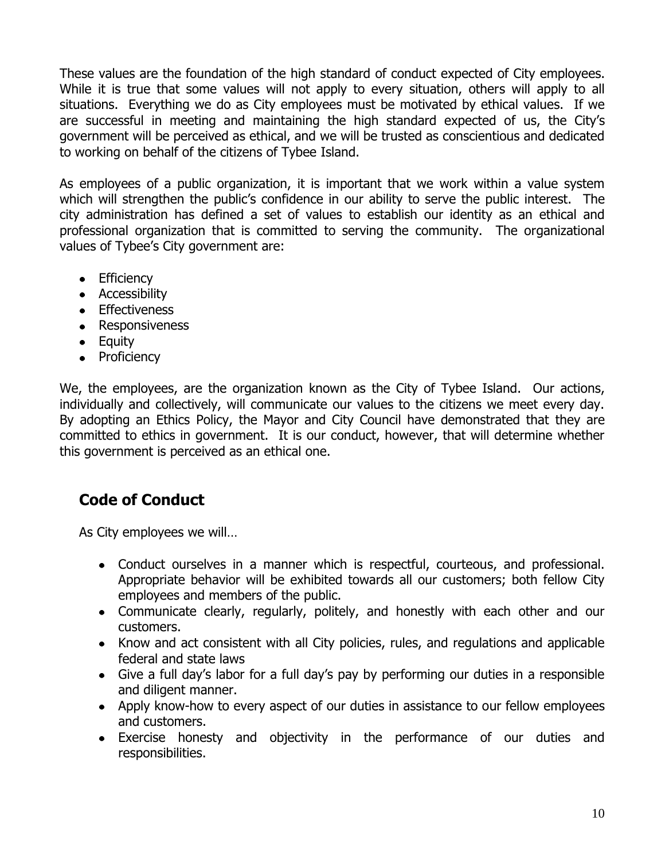These values are the foundation of the high standard of conduct expected of City employees. While it is true that some values will not apply to every situation, others will apply to all situations. Everything we do as City employees must be motivated by ethical values. If we are successful in meeting and maintaining the high standard expected of us, the City's government will be perceived as ethical, and we will be trusted as conscientious and dedicated to working on behalf of the citizens of Tybee Island.

As employees of a public organization, it is important that we work within a value system which will strengthen the public's confidence in our ability to serve the public interest. The city administration has defined a set of values to establish our identity as an ethical and professional organization that is committed to serving the community. The organizational values of Tybee's City government are:

- Efficiency
- Accessibility
- Effectiveness
- Responsiveness
- Equity
- Proficiency

We, the employees, are the organization known as the City of Tybee Island. Our actions, individually and collectively, will communicate our values to the citizens we meet every day. By adopting an Ethics Policy, the Mayor and City Council have demonstrated that they are committed to ethics in government. It is our conduct, however, that will determine whether this government is perceived as an ethical one.

# **Code of Conduct**

As City employees we will…

- Conduct ourselves in a manner which is respectful, courteous, and professional. Appropriate behavior will be exhibited towards all our customers; both fellow City employees and members of the public.
- Communicate clearly, regularly, politely, and honestly with each other and our customers.
- Know and act consistent with all City policies, rules, and regulations and applicable federal and state laws
- Give a full day's labor for a full day's pay by performing our duties in a responsible and diligent manner.
- Apply know-how to every aspect of our duties in assistance to our fellow employees and customers.
- Exercise honesty and objectivity in the performance of our duties and responsibilities.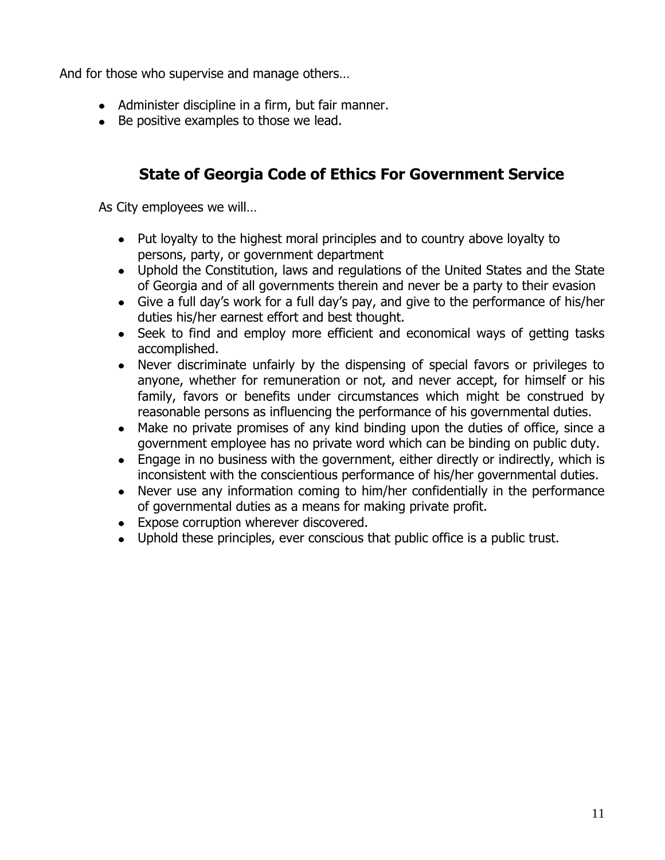And for those who supervise and manage others…

- Administer discipline in a firm, but fair manner.
- Be positive examples to those we lead.

## **State of Georgia Code of Ethics For Government Service**

As City employees we will…

- Put loyalty to the highest moral principles and to country above loyalty to persons, party, or government department
- Uphold the Constitution, laws and regulations of the United States and the State of Georgia and of all governments therein and never be a party to their evasion
- Give a full day's work for a full day's pay, and give to the performance of his/her duties his/her earnest effort and best thought.
- Seek to find and employ more efficient and economical ways of getting tasks accomplished.
- Never discriminate unfairly by the dispensing of special favors or privileges to anyone, whether for remuneration or not, and never accept, for himself or his family, favors or benefits under circumstances which might be construed by reasonable persons as influencing the performance of his governmental duties.
- Make no private promises of any kind binding upon the duties of office, since a government employee has no private word which can be binding on public duty.
- Engage in no business with the government, either directly or indirectly, which is inconsistent with the conscientious performance of his/her governmental duties.
- Never use any information coming to him/her confidentially in the performance of governmental duties as a means for making private profit.
- Expose corruption wherever discovered.
- Uphold these principles, ever conscious that public office is a public trust.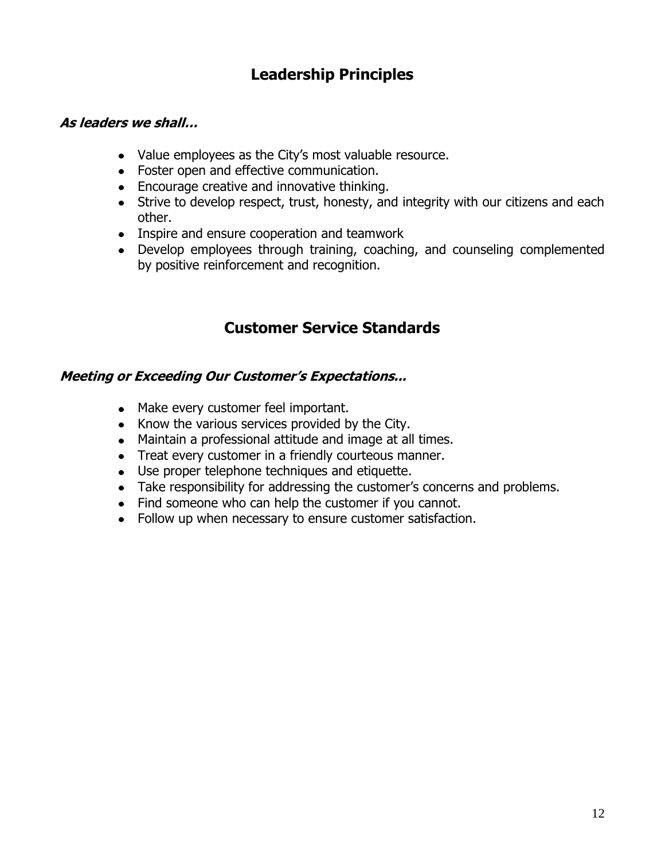## **Leadership Principles**

#### **As leaders we shall…**

- Value employees as the City's most valuable resource.
- Foster open and effective communication.
- Encourage creative and innovative thinking.
- Strive to develop respect, trust, honesty, and integrity with our citizens and each other.
- Inspire and ensure cooperation and teamwork
- Develop employees through training, coaching, and counseling complemented by positive reinforcement and recognition.

## **Customer Service Standards**

### **Meeting or Exceeding Our Customer's Expectations...**

- Make every customer feel important.
- Know the various services provided by the City.
- Maintain a professional attitude and image at all times.
- Treat every customer in a friendly courteous manner.
- Use proper telephone techniques and etiquette.
- Take responsibility for addressing the customer's concerns and problems.
- Find someone who can help the customer if you cannot.
- Follow up when necessary to ensure customer satisfaction.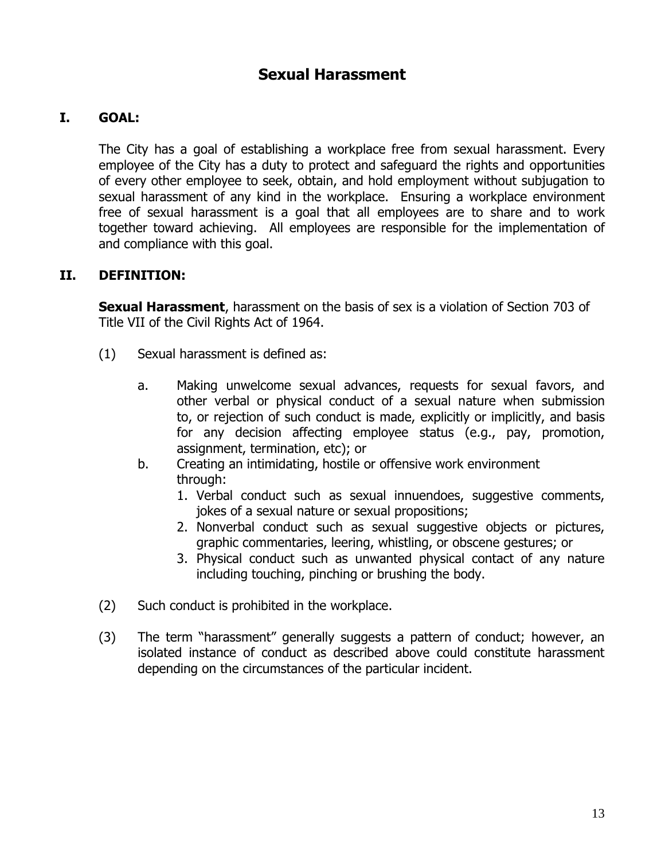## **Sexual Harassment**

### **I. GOAL:**

The City has a goal of establishing a workplace free from sexual harassment. Every employee of the City has a duty to protect and safeguard the rights and opportunities of every other employee to seek, obtain, and hold employment without subjugation to sexual harassment of any kind in the workplace. Ensuring a workplace environment free of sexual harassment is a goal that all employees are to share and to work together toward achieving. All employees are responsible for the implementation of and compliance with this goal.

#### **II. DEFINITION:**

**Sexual Harassment**, harassment on the basis of sex is a violation of Section 703 of Title VII of the Civil Rights Act of 1964.

- (1) Sexual harassment is defined as:
	- a. Making unwelcome sexual advances, requests for sexual favors, and other verbal or physical conduct of a sexual nature when submission to, or rejection of such conduct is made, explicitly or implicitly, and basis for any decision affecting employee status (e.g., pay, promotion, assignment, termination, etc); or
	- b. Creating an intimidating, hostile or offensive work environment through:
		- 1. Verbal conduct such as sexual innuendoes, suggestive comments, jokes of a sexual nature or sexual propositions;
		- 2. Nonverbal conduct such as sexual suggestive objects or pictures, graphic commentaries, leering, whistling, or obscene gestures; or
		- 3. Physical conduct such as unwanted physical contact of any nature including touching, pinching or brushing the body.
- (2) Such conduct is prohibited in the workplace.
- (3) The term "harassment" generally suggests a pattern of conduct; however, an isolated instance of conduct as described above could constitute harassment depending on the circumstances of the particular incident.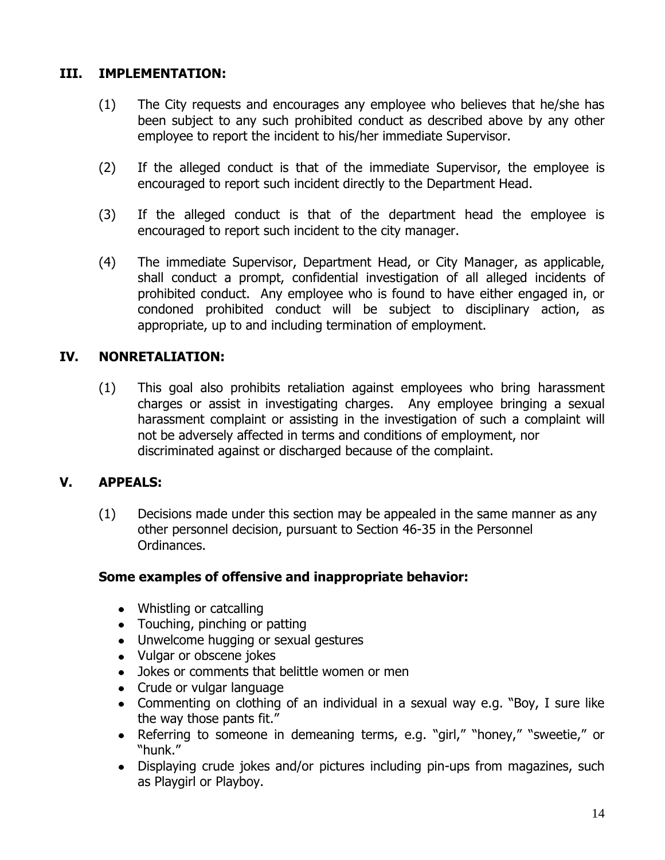### **III. IMPLEMENTATION:**

- (1) The City requests and encourages any employee who believes that he/she has been subject to any such prohibited conduct as described above by any other employee to report the incident to his/her immediate Supervisor.
- (2) If the alleged conduct is that of the immediate Supervisor, the employee is encouraged to report such incident directly to the Department Head.
- (3) If the alleged conduct is that of the department head the employee is encouraged to report such incident to the city manager.
- (4) The immediate Supervisor, Department Head, or City Manager, as applicable, shall conduct a prompt, confidential investigation of all alleged incidents of prohibited conduct. Any employee who is found to have either engaged in, or condoned prohibited conduct will be subject to disciplinary action, as appropriate, up to and including termination of employment.

### **IV. NONRETALIATION:**

(1) This goal also prohibits retaliation against employees who bring harassment charges or assist in investigating charges. Any employee bringing a sexual harassment complaint or assisting in the investigation of such a complaint will not be adversely affected in terms and conditions of employment, nor discriminated against or discharged because of the complaint.

### **V. APPEALS:**

(1) Decisions made under this section may be appealed in the same manner as any other personnel decision, pursuant to Section 46-35 in the Personnel Ordinances.

### **Some examples of offensive and inappropriate behavior:**

- Whistling or catcalling
- Touching, pinching or patting
- Unwelcome hugging or sexual gestures
- Vulgar or obscene jokes
- Jokes or comments that belittle women or men
- Crude or vulgar language
- Commenting on clothing of an individual in a sexual way e.g. "Boy, I sure like the way those pants fit."
- Referring to someone in demeaning terms, e.g. "girl," "honey," "sweetie," or "hunk."
- Displaying crude jokes and/or pictures including pin-ups from magazines, such as Playgirl or Playboy.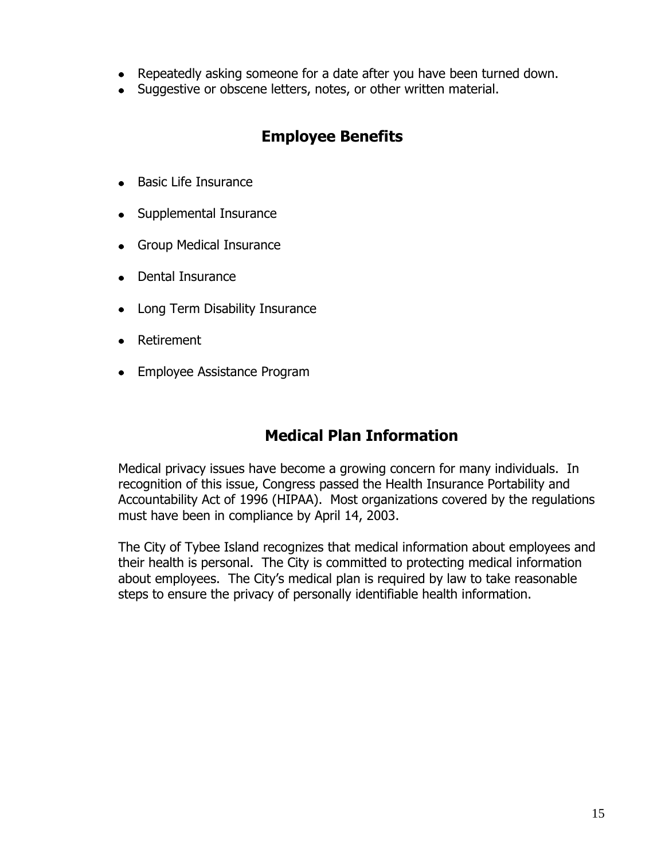- Repeatedly asking someone for a date after you have been turned down.
- Suggestive or obscene letters, notes, or other written material.

## **Employee Benefits**

- Basic Life Insurance
- Supplemental Insurance
- Group Medical Insurance
- Dental Insurance
- Long Term Disability Insurance
- Retirement
- Employee Assistance Program

## **Medical Plan Information**

Medical privacy issues have become a growing concern for many individuals. In recognition of this issue, Congress passed the Health Insurance Portability and Accountability Act of 1996 (HIPAA). Most organizations covered by the regulations must have been in compliance by April 14, 2003.

The City of Tybee Island recognizes that medical information about employees and their health is personal. The City is committed to protecting medical information about employees. The City's medical plan is required by law to take reasonable steps to ensure the privacy of personally identifiable health information.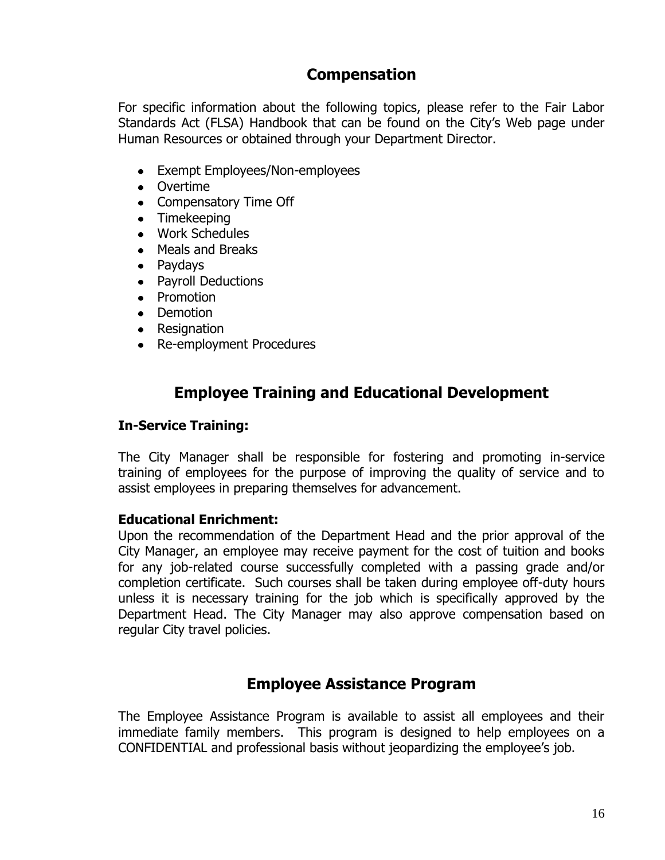## **Compensation**

For specific information about the following topics, please refer to the Fair Labor Standards Act (FLSA) Handbook that can be found on the City's Web page under Human Resources or obtained through your Department Director.

- Exempt Employees/Non-employees
- Overtime
- Compensatory Time Off
- Timekeeping
- Work Schedules
- Meals and Breaks
- Paydays
- Payroll Deductions
- Promotion
- Demotion
- Resignation
- Re-employment Procedures

## **Employee Training and Educational Development**

#### **In-Service Training:**

The City Manager shall be responsible for fostering and promoting in-service training of employees for the purpose of improving the quality of service and to assist employees in preparing themselves for advancement.

#### **Educational Enrichment:**

Upon the recommendation of the Department Head and the prior approval of the City Manager, an employee may receive payment for the cost of tuition and books for any job-related course successfully completed with a passing grade and/or completion certificate. Such courses shall be taken during employee off-duty hours unless it is necessary training for the job which is specifically approved by the Department Head. The City Manager may also approve compensation based on regular City travel policies.

### **Employee Assistance Program**

The Employee Assistance Program is available to assist all employees and their immediate family members. This program is designed to help employees on a CONFIDENTIAL and professional basis without jeopardizing the employee's job.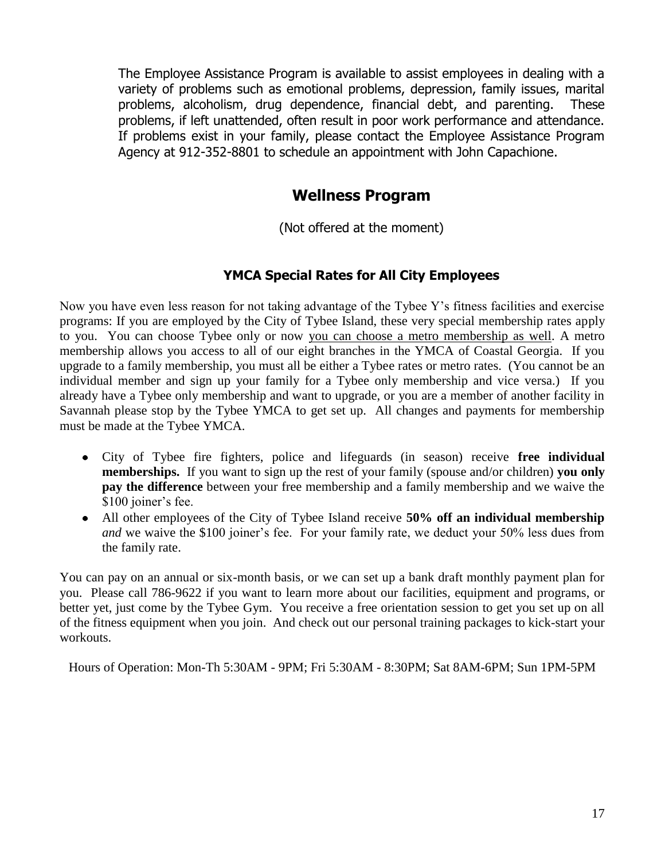The Employee Assistance Program is available to assist employees in dealing with a variety of problems such as emotional problems, depression, family issues, marital problems, alcoholism, drug dependence, financial debt, and parenting. These problems, if left unattended, often result in poor work performance and attendance. If problems exist in your family, please contact the Employee Assistance Program Agency at 912-352-8801 to schedule an appointment with John Capachione.

### **Wellness Program**

(Not offered at the moment)

### **YMCA Special Rates for All City Employees**

Now you have even less reason for not taking advantage of the Tybee Y's fitness facilities and exercise programs: If you are employed by the City of Tybee Island, these very special membership rates apply to you. You can choose Tybee only or now you can choose a metro membership as well. A metro membership allows you access to all of our eight branches in the YMCA of Coastal Georgia. If you upgrade to a family membership, you must all be either a Tybee rates or metro rates. (You cannot be an individual member and sign up your family for a Tybee only membership and vice versa.) If you already have a Tybee only membership and want to upgrade, or you are a member of another facility in Savannah please stop by the Tybee YMCA to get set up. All changes and payments for membership must be made at the Tybee YMCA.

- City of Tybee fire fighters, police and lifeguards (in season) receive **free individual memberships.** If you want to sign up the rest of your family (spouse and/or children) **you only pay the difference** between your free membership and a family membership and we waive the \$100 joiner's fee.
- All other employees of the City of Tybee Island receive **50% off an individual membership** *and* we waive the \$100 joiner's fee. For your family rate, we deduct your 50% less dues from the family rate.

You can pay on an annual or six-month basis, or we can set up a bank draft monthly payment plan for you. Please call 786-9622 if you want to learn more about our facilities, equipment and programs, or better yet, just come by the Tybee Gym. You receive a free orientation session to get you set up on all of the fitness equipment when you join. And check out our personal training packages to kick-start your workouts.

Hours of Operation: Mon-Th 5:30AM - 9PM; Fri 5:30AM - 8:30PM; Sat 8AM-6PM; Sun 1PM-5PM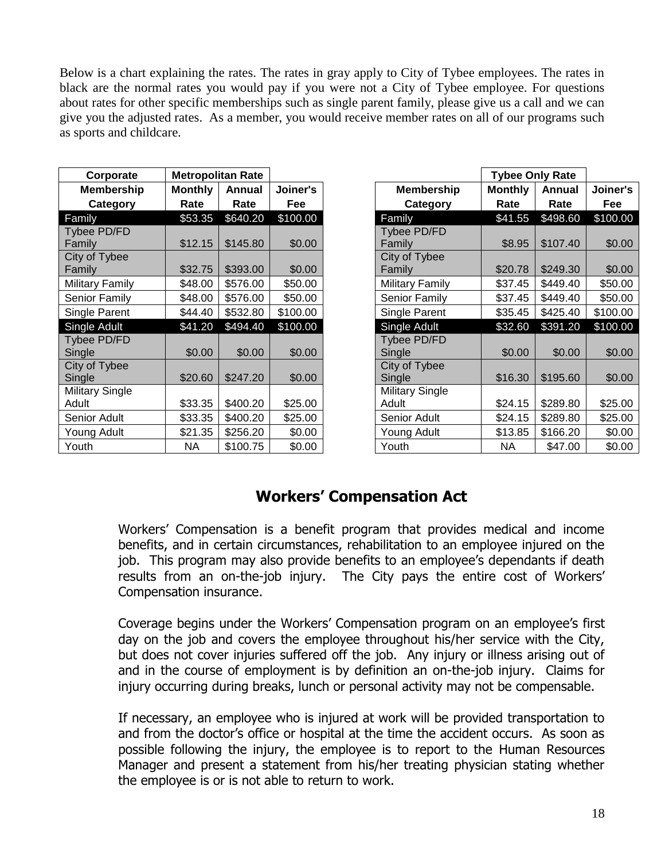Below is a chart explaining the rates. The rates in gray apply to City of Tybee employees. The rates in black are the normal rates you would pay if you were not a City of Tybee employee. For questions about rates for other specific memberships such as single parent family, please give us a call and we can give you the adjusted rates. As a member, you would receive member rates on all of our programs such as sports and childcare.

| Corporate              |                | <b>Metropolitan Rate</b> |          |                        | <b>Tybee Only Rate</b> |          |          |
|------------------------|----------------|--------------------------|----------|------------------------|------------------------|----------|----------|
| <b>Membership</b>      | <b>Monthly</b> | Annual                   | Joiner's | <b>Membership</b>      | <b>Monthly</b>         | Annual   | Joiner's |
| Category               | Rate           | Rate                     | Fee      | Category               | Rate                   | Rate     | Fee      |
| Family                 | \$53.35        | \$640.20                 | \$100.00 | Family                 | \$41.55                | \$498.60 | \$100.00 |
| Tybee PD/FD            |                |                          |          | <b>Tybee PD/FD</b>     |                        |          |          |
| Family                 | \$12.15        | \$145.80                 | \$0.00   | Family                 | \$8.95                 | \$107.40 | \$0.00   |
| City of Tybee          |                |                          |          | City of Tybee          |                        |          |          |
| Family                 | \$32.75        | \$393.00                 | \$0.00   | Family                 | \$20.78                | \$249.30 | \$0.00   |
| Military Family        | \$48.00        | \$576.00                 | \$50.00  | Military Family        | \$37.45                | \$449.40 | \$50.00  |
| Senior Family          | \$48.00        | \$576.00                 | \$50.00  | Senior Family          | \$37.45                | \$449.40 | \$50.00  |
| Single Parent          | \$44.40        | \$532.80                 | \$100.00 | Single Parent          | \$35.45                | \$425.40 | \$100.00 |
| Single Adult           | \$41.20        | \$494.40                 | \$100.00 | Single Adult           | \$32.60                | \$391.20 | \$100.00 |
| Tybee PD/FD            |                |                          |          | Tybee PD/FD            |                        |          |          |
| Single                 | \$0.00         | \$0.00                   | \$0.00   | Single                 | \$0.00                 | \$0.00   | \$0.00   |
| City of Tybee          |                |                          |          | City of Tybee          |                        |          |          |
| Single                 | \$20.60        | \$247.20                 | \$0.00   | Single                 | \$16.30                | \$195.60 | \$0.00   |
| <b>Military Single</b> |                |                          |          | <b>Military Single</b> |                        |          |          |
| Adult                  | \$33.35        | \$400.20                 | \$25.00  | Adult                  | \$24.15                | \$289.80 | \$25.00  |
| Senior Adult           | \$33.35        | \$400.20                 | \$25.00  | Senior Adult           | \$24.15                | \$289.80 | \$25.00  |
| Young Adult            | \$21.35        | \$256.20                 | \$0.00   | Young Adult            | \$13.85                | \$166.20 | \$0.00   |
| Youth                  | NA             | \$100.75                 | \$0.00   | Youth                  | NA.                    | \$47.00  | \$0.00   |

| Corporate              | <b>Metropolitan Rate</b> |          |          |
|------------------------|--------------------------|----------|----------|
| <b>Membership</b>      | <b>Monthly</b>           | Annual   | Joiner's |
| Category               | Rate                     | Rate     | Fee      |
| Family                 | \$53.35                  | \$640.20 | \$100.00 |
| Tybee PD/FD            |                          |          |          |
| Family                 | \$12.15                  | \$145.80 | \$0.00   |
| City of Tybee          |                          |          |          |
| Family                 | \$32.75                  | \$393.00 | \$0.00   |
| Military Family        | \$48.00                  | \$576.00 | \$50.00  |
| Senior Family          | \$48.00                  | \$576.00 | \$50.00  |
| Single Parent          | \$44.40                  | \$532.80 | \$100.00 |
| Single Adult           | \$41.20                  | \$494.40 | \$100.00 |
| Tybee PD/FD            |                          |          |          |
| Single                 | \$0.00                   | \$0.00   | \$0.00   |
| City of Tybee          |                          |          |          |
| Single                 | \$20.60                  | \$247.20 | \$0.00   |
| <b>Military Single</b> |                          |          |          |
| Adult                  | \$33.35                  | \$400.20 | \$25.00  |
| Senior Adult           | \$33.35                  | \$400.20 | \$25.00  |
| Young Adult            | \$21.35                  | \$256.20 | \$0.00   |
| Youth                  | <b>NA</b>                | \$100.75 | \$0.00   |

### **Workers' Compensation Act**

Workers' Compensation is a benefit program that provides medical and income benefits, and in certain circumstances, rehabilitation to an employee injured on the job. This program may also provide benefits to an employee's dependants if death results from an on-the-job injury. The City pays the entire cost of Workers' Compensation insurance.

Coverage begins under the Workers' Compensation program on an employee's first day on the job and covers the employee throughout his/her service with the City, but does not cover injuries suffered off the job. Any injury or illness arising out of and in the course of employment is by definition an on-the-job injury. Claims for injury occurring during breaks, lunch or personal activity may not be compensable.

If necessary, an employee who is injured at work will be provided transportation to and from the doctor's office or hospital at the time the accident occurs. As soon as possible following the injury, the employee is to report to the Human Resources Manager and present a statement from his/her treating physician stating whether the employee is or is not able to return to work.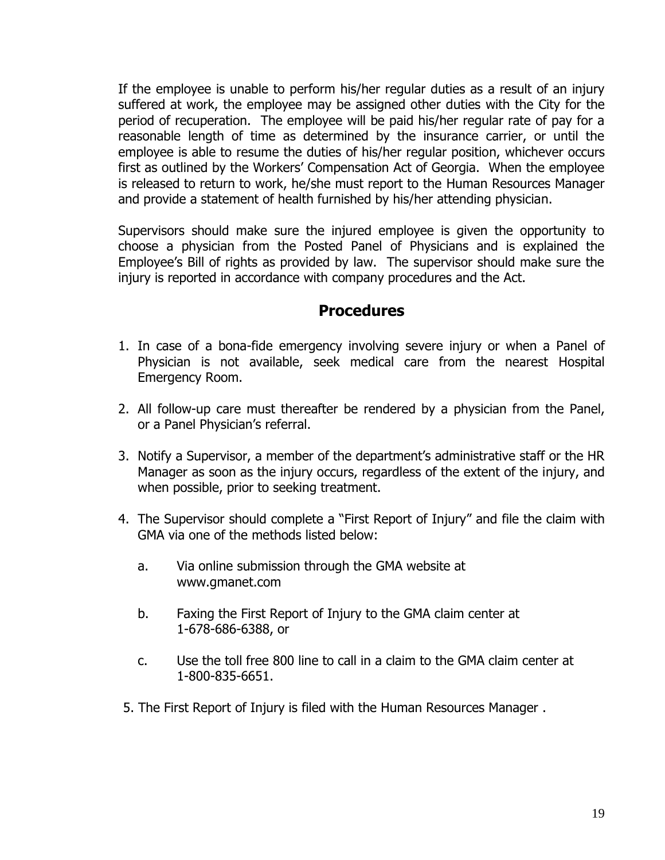If the employee is unable to perform his/her regular duties as a result of an injury suffered at work, the employee may be assigned other duties with the City for the period of recuperation. The employee will be paid his/her regular rate of pay for a reasonable length of time as determined by the insurance carrier, or until the employee is able to resume the duties of his/her regular position, whichever occurs first as outlined by the Workers' Compensation Act of Georgia. When the employee is released to return to work, he/she must report to the Human Resources Manager and provide a statement of health furnished by his/her attending physician.

Supervisors should make sure the injured employee is given the opportunity to choose a physician from the Posted Panel of Physicians and is explained the Employee's Bill of rights as provided by law. The supervisor should make sure the injury is reported in accordance with company procedures and the Act.

### **Procedures**

- 1. In case of a bona-fide emergency involving severe injury or when a Panel of Physician is not available, seek medical care from the nearest Hospital Emergency Room.
- 2. All follow-up care must thereafter be rendered by a physician from the Panel, or a Panel Physician's referral.
- 3. Notify a Supervisor, a member of the department's administrative staff or the HR Manager as soon as the injury occurs, regardless of the extent of the injury, and when possible, prior to seeking treatment.
- 4. The Supervisor should complete a "First Report of Injury" and file the claim with GMA via one of the methods listed below:
	- a. Via online submission through the GMA website at www.gmanet.com
	- b. Faxing the First Report of Injury to the GMA claim center at 1-678-686-6388, or
	- c. Use the toll free 800 line to call in a claim to the GMA claim center at 1-800-835-6651.
- 5. The First Report of Injury is filed with the Human Resources Manager .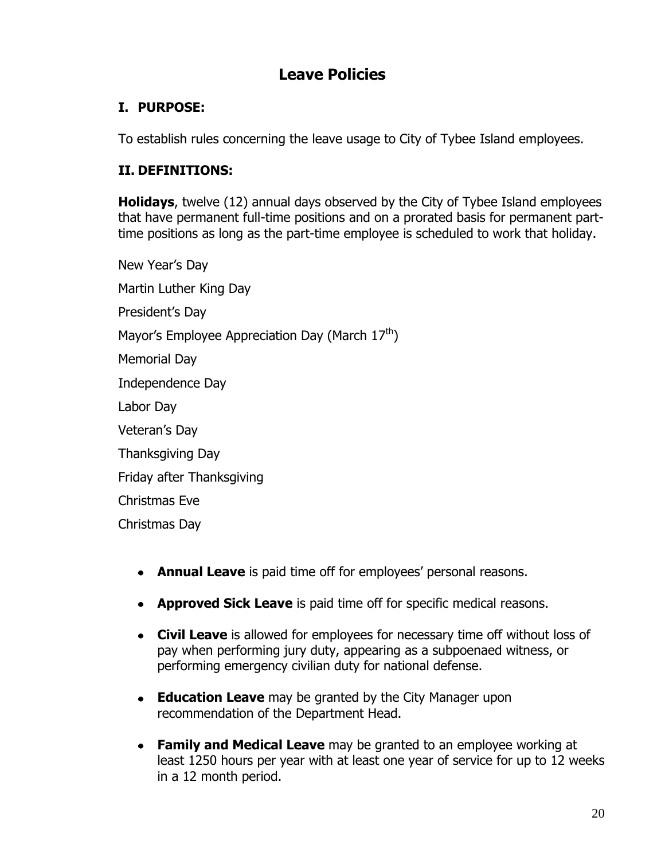## **Leave Policies**

### **I. PURPOSE:**

To establish rules concerning the leave usage to City of Tybee Island employees.

### **II. DEFINITIONS:**

**Holidays**, twelve (12) annual days observed by the City of Tybee Island employees that have permanent full-time positions and on a prorated basis for permanent parttime positions as long as the part-time employee is scheduled to work that holiday.

New Year's Day Martin Luther King Day President's Day Mayor's Employee Appreciation Day (March  $17<sup>th</sup>$ ) Memorial Day Independence Day Labor Day Veteran's Day Thanksgiving Day Friday after Thanksgiving Christmas Eve Christmas Day

- **Annual Leave** is paid time off for employees' personal reasons.
- **Approved Sick Leave** is paid time off for specific medical reasons.
- **Civil Leave** is allowed for employees for necessary time off without loss of pay when performing jury duty, appearing as a subpoenaed witness, or performing emergency civilian duty for national defense.
- **Education Leave** may be granted by the City Manager upon recommendation of the Department Head.
- **Family and Medical Leave** may be granted to an employee working at least 1250 hours per year with at least one year of service for up to 12 weeks in a 12 month period.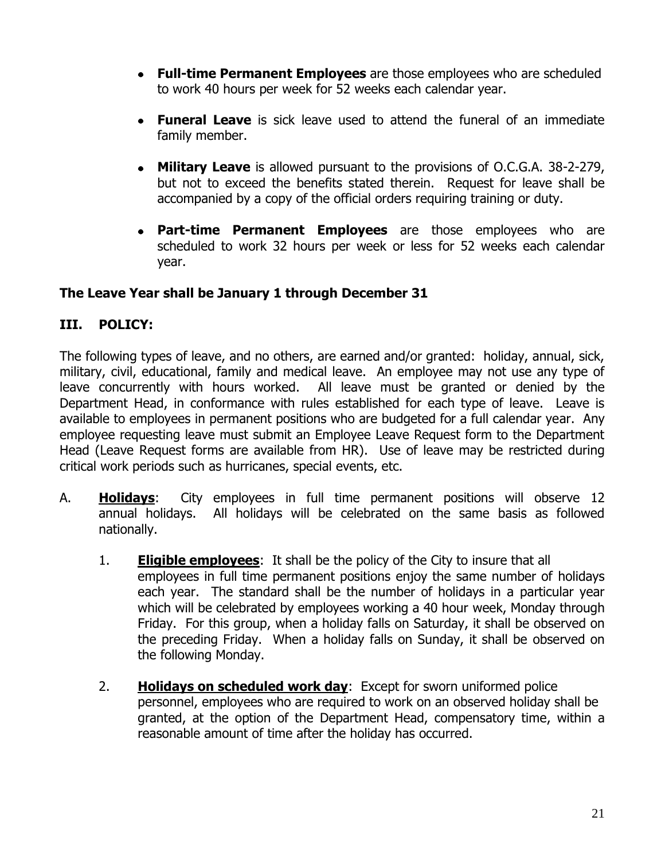- **Full-time Permanent Employees** are those employees who are scheduled to work 40 hours per week for 52 weeks each calendar year.
- **Funeral Leave** is sick leave used to attend the funeral of an immediate family member.
- $\bullet$ **Military Leave** is allowed pursuant to the provisions of O.C.G.A. 38-2-279, but not to exceed the benefits stated therein. Request for leave shall be accompanied by a copy of the official orders requiring training or duty.
- **Part-time Permanent Employees** are those employees who are scheduled to work 32 hours per week or less for 52 weeks each calendar year.

### **The Leave Year shall be January 1 through December 31**

### **III. POLICY:**

The following types of leave, and no others, are earned and/or granted: holiday, annual, sick, military, civil, educational, family and medical leave. An employee may not use any type of leave concurrently with hours worked. All leave must be granted or denied by the Department Head, in conformance with rules established for each type of leave. Leave is available to employees in permanent positions who are budgeted for a full calendar year. Any employee requesting leave must submit an Employee Leave Request form to the Department Head (Leave Request forms are available from HR). Use of leave may be restricted during critical work periods such as hurricanes, special events, etc.

- A. **Holidays**: City employees in full time permanent positions will observe 12 annual holidays. All holidays will be celebrated on the same basis as followed nationally.
	- 1. **Eligible employees**: It shall be the policy of the City to insure that all employees in full time permanent positions enjoy the same number of holidays each year. The standard shall be the number of holidays in a particular year which will be celebrated by employees working a 40 hour week, Monday through Friday. For this group, when a holiday falls on Saturday, it shall be observed on the preceding Friday. When a holiday falls on Sunday, it shall be observed on the following Monday.
	- 2. **Holidays on scheduled work day**: Except for sworn uniformed police personnel, employees who are required to work on an observed holiday shall be granted, at the option of the Department Head, compensatory time, within a reasonable amount of time after the holiday has occurred.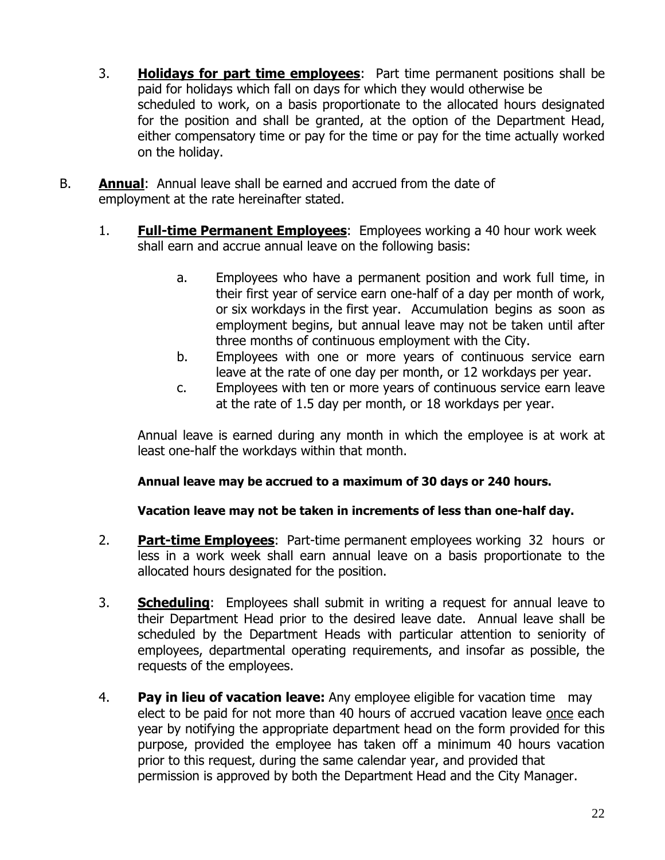- 3. **Holidays for part time employees**: Part time permanent positions shall be paid for holidays which fall on days for which they would otherwise be scheduled to work, on a basis proportionate to the allocated hours designated for the position and shall be granted, at the option of the Department Head, either compensatory time or pay for the time or pay for the time actually worked on the holiday.
- B. **Annual**: Annual leave shall be earned and accrued from the date of employment at the rate hereinafter stated.
	- 1. **Full-time Permanent Employees**: Employees working a 40 hour work week shall earn and accrue annual leave on the following basis:
		- a. Employees who have a permanent position and work full time, in their first year of service earn one-half of a day per month of work, or six workdays in the first year. Accumulation begins as soon as employment begins, but annual leave may not be taken until after three months of continuous employment with the City.
		- b. Employees with one or more years of continuous service earn leave at the rate of one day per month, or 12 workdays per year.
		- c. Employees with ten or more years of continuous service earn leave at the rate of 1.5 day per month, or 18 workdays per year.

Annual leave is earned during any month in which the employee is at work at least one-half the workdays within that month.

### **Annual leave may be accrued to a maximum of 30 days or 240 hours.**

### **Vacation leave may not be taken in increments of less than one-half day.**

- 2. **Part-time Employees**: Part-time permanent employees working 32 hours or less in a work week shall earn annual leave on a basis proportionate to the allocated hours designated for the position.
- 3. **Scheduling**: Employees shall submit in writing a request for annual leave to their Department Head prior to the desired leave date. Annual leave shall be scheduled by the Department Heads with particular attention to seniority of employees, departmental operating requirements, and insofar as possible, the requests of the employees.
- 4. **Pay in lieu of vacation leave:** Any employee eligible for vacation time may elect to be paid for not more than 40 hours of accrued vacation leave once each year by notifying the appropriate department head on the form provided for this purpose, provided the employee has taken off a minimum 40 hours vacation prior to this request, during the same calendar year, and provided that permission is approved by both the Department Head and the City Manager.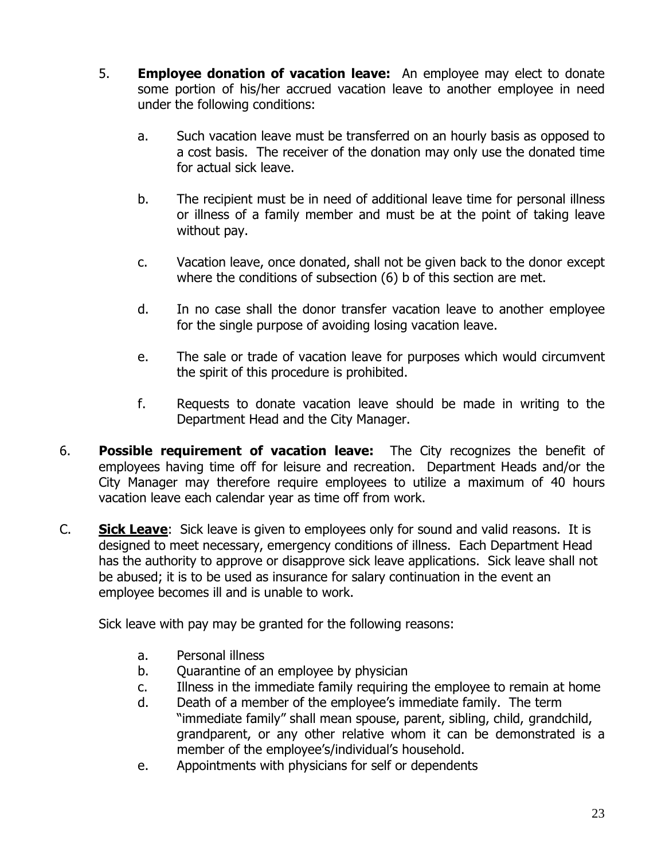- 5. **Employee donation of vacation leave:** An employee may elect to donate some portion of his/her accrued vacation leave to another employee in need under the following conditions:
	- a. Such vacation leave must be transferred on an hourly basis as opposed to a cost basis. The receiver of the donation may only use the donated time for actual sick leave.
	- b. The recipient must be in need of additional leave time for personal illness or illness of a family member and must be at the point of taking leave without pay.
	- c. Vacation leave, once donated, shall not be given back to the donor except where the conditions of subsection (6) b of this section are met.
	- d. In no case shall the donor transfer vacation leave to another employee for the single purpose of avoiding losing vacation leave.
	- e. The sale or trade of vacation leave for purposes which would circumvent the spirit of this procedure is prohibited.
	- f. Requests to donate vacation leave should be made in writing to the Department Head and the City Manager.
- 6. **Possible requirement of vacation leave:** The City recognizes the benefit of employees having time off for leisure and recreation. Department Heads and/or the City Manager may therefore require employees to utilize a maximum of 40 hours vacation leave each calendar year as time off from work.
- C. **Sick Leave**: Sick leave is given to employees only for sound and valid reasons. It is designed to meet necessary, emergency conditions of illness. Each Department Head has the authority to approve or disapprove sick leave applications. Sick leave shall not be abused; it is to be used as insurance for salary continuation in the event an employee becomes ill and is unable to work.

Sick leave with pay may be granted for the following reasons:

- a. Personal illness
- b. Quarantine of an employee by physician
- c. Illness in the immediate family requiring the employee to remain at home
- d. Death of a member of the employee's immediate family. The term "immediate family" shall mean spouse, parent, sibling, child, grandchild, grandparent, or any other relative whom it can be demonstrated is a member of the employee's/individual's household.
- e. Appointments with physicians for self or dependents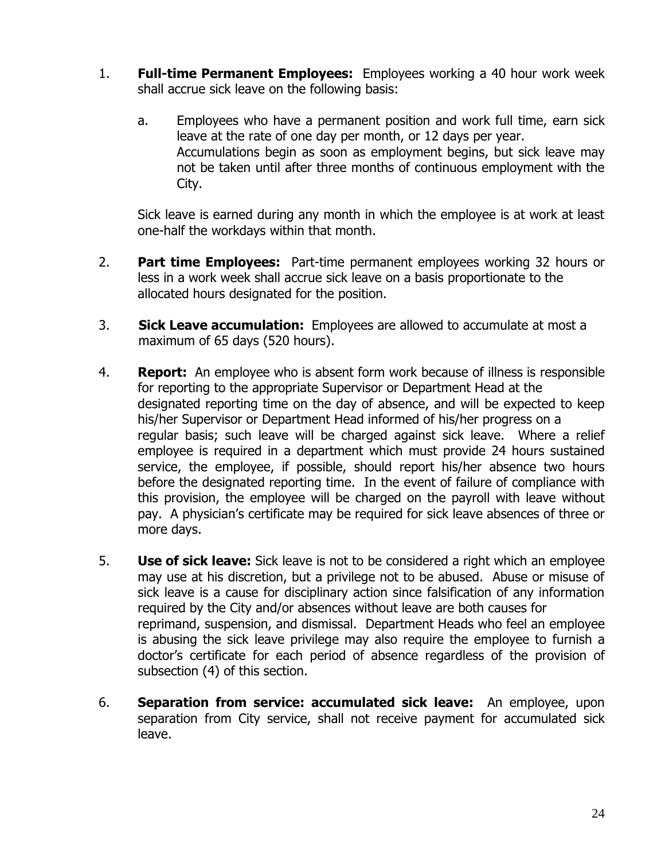- 1. **Full-time Permanent Employees:** Employees working a 40 hour work week shall accrue sick leave on the following basis:
	- a. Employees who have a permanent position and work full time, earn sick leave at the rate of one day per month, or 12 days per year. Accumulations begin as soon as employment begins, but sick leave may not be taken until after three months of continuous employment with the City.

Sick leave is earned during any month in which the employee is at work at least one-half the workdays within that month.

- 2. **Part time Employees:** Part-time permanent employees working 32 hours or less in a work week shall accrue sick leave on a basis proportionate to the allocated hours designated for the position.
- 3. **Sick Leave accumulation:** Employees are allowed to accumulate at most a maximum of 65 days (520 hours).
- 4. **Report:** An employee who is absent form work because of illness is responsible for reporting to the appropriate Supervisor or Department Head at the designated reporting time on the day of absence, and will be expected to keep his/her Supervisor or Department Head informed of his/her progress on a regular basis; such leave will be charged against sick leave. Where a relief employee is required in a department which must provide 24 hours sustained service, the employee, if possible, should report his/her absence two hours before the designated reporting time. In the event of failure of compliance with this provision, the employee will be charged on the payroll with leave without pay. A physician's certificate may be required for sick leave absences of three or more days.
- 5. **Use of sick leave:** Sick leave is not to be considered a right which an employee may use at his discretion, but a privilege not to be abused. Abuse or misuse of sick leave is a cause for disciplinary action since falsification of any information required by the City and/or absences without leave are both causes for reprimand, suspension, and dismissal. Department Heads who feel an employee is abusing the sick leave privilege may also require the employee to furnish a doctor's certificate for each period of absence regardless of the provision of subsection (4) of this section.
- 6. **Separation from service: accumulated sick leave:** An employee, upon separation from City service, shall not receive payment for accumulated sick leave.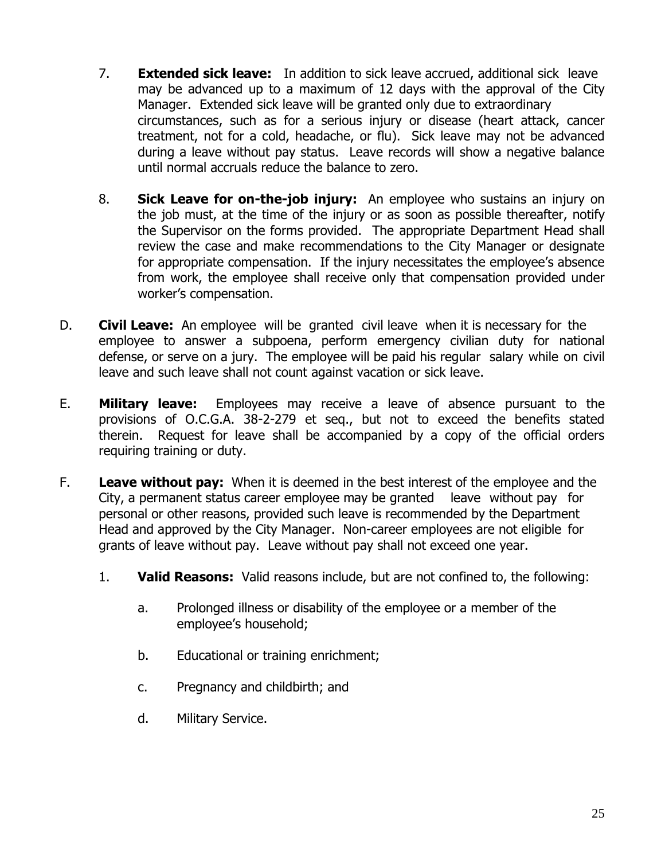- 7. **Extended sick leave:** In addition to sick leave accrued, additional sick leave may be advanced up to a maximum of 12 days with the approval of the City Manager. Extended sick leave will be granted only due to extraordinary circumstances, such as for a serious injury or disease (heart attack, cancer treatment, not for a cold, headache, or flu). Sick leave may not be advanced during a leave without pay status. Leave records will show a negative balance until normal accruals reduce the balance to zero.
- 8. **Sick Leave for on-the-job injury:** An employee who sustains an injury on the job must, at the time of the injury or as soon as possible thereafter, notify the Supervisor on the forms provided. The appropriate Department Head shall review the case and make recommendations to the City Manager or designate for appropriate compensation. If the injury necessitates the employee's absence from work, the employee shall receive only that compensation provided under worker's compensation.
- D. **Civil Leave:** An employee will be granted civil leave when it is necessary for the employee to answer a subpoena, perform emergency civilian duty for national defense, or serve on a jury. The employee will be paid his regular salary while on civil leave and such leave shall not count against vacation or sick leave.
- E. **Military leave:** Employees may receive a leave of absence pursuant to the provisions of O.C.G.A. 38-2-279 et seq., but not to exceed the benefits stated therein. Request for leave shall be accompanied by a copy of the official orders requiring training or duty.
- F. **Leave without pay:** When it is deemed in the best interest of the employee and the City, a permanent status career employee may be granted leave without pay for personal or other reasons, provided such leave is recommended by the Department Head and approved by the City Manager. Non-career employees are not eligible for grants of leave without pay. Leave without pay shall not exceed one year.
	- 1. **Valid Reasons:** Valid reasons include, but are not confined to, the following:
		- a. Prolonged illness or disability of the employee or a member of the employee's household;
		- b. Educational or training enrichment;
		- c. Pregnancy and childbirth; and
		- d. Military Service.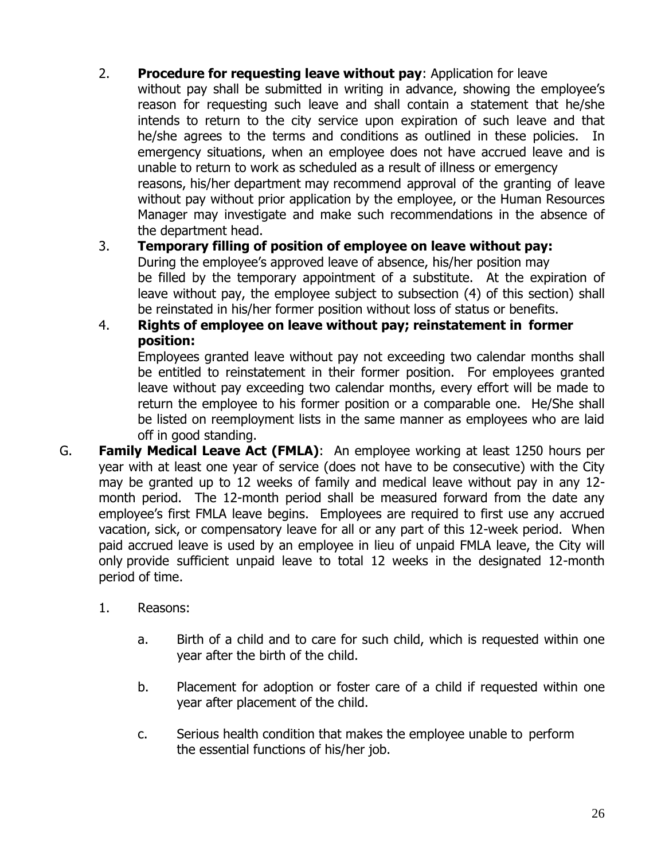- 2. **Procedure for requesting leave without pay**: Application for leave without pay shall be submitted in writing in advance, showing the employee's reason for requesting such leave and shall contain a statement that he/she intends to return to the city service upon expiration of such leave and that he/she agrees to the terms and conditions as outlined in these policies. In emergency situations, when an employee does not have accrued leave and is unable to return to work as scheduled as a result of illness or emergency reasons, his/her department may recommend approval of the granting of leave without pay without prior application by the employee, or the Human Resources Manager may investigate and make such recommendations in the absence of the department head.
- 3. **Temporary filling of position of employee on leave without pay:** During the employee's approved leave of absence, his/her position may be filled by the temporary appointment of a substitute. At the expiration of leave without pay, the employee subject to subsection (4) of this section) shall be reinstated in his/her former position without loss of status or benefits.
- 4. **Rights of employee on leave without pay; reinstatement in former position:**

Employees granted leave without pay not exceeding two calendar months shall be entitled to reinstatement in their former position. For employees granted leave without pay exceeding two calendar months, every effort will be made to return the employee to his former position or a comparable one. He/She shall be listed on reemployment lists in the same manner as employees who are laid off in good standing.

- G. **Family Medical Leave Act (FMLA)**: An employee working at least 1250 hours per year with at least one year of service (does not have to be consecutive) with the City may be granted up to 12 weeks of family and medical leave without pay in any 12 month period. The 12-month period shall be measured forward from the date any employee's first FMLA leave begins. Employees are required to first use any accrued vacation, sick, or compensatory leave for all or any part of this 12-week period. When paid accrued leave is used by an employee in lieu of unpaid FMLA leave, the City will only provide sufficient unpaid leave to total 12 weeks in the designated 12-month period of time.
	- 1. Reasons:
		- a. Birth of a child and to care for such child, which is requested within one year after the birth of the child.
		- b. Placement for adoption or foster care of a child if requested within one year after placement of the child.
		- c. Serious health condition that makes the employee unable to perform the essential functions of his/her job.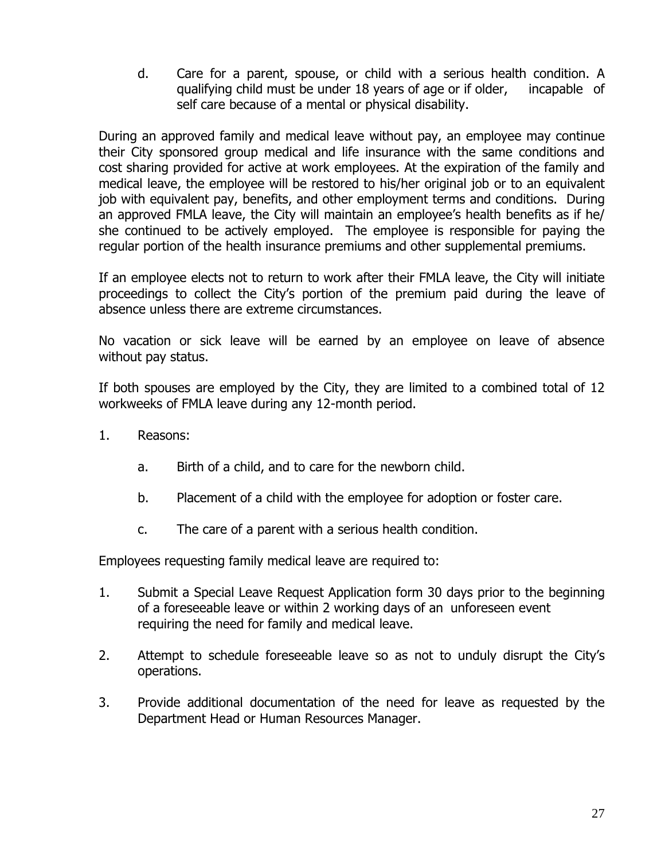d. Care for a parent, spouse, or child with a serious health condition. A qualifying child must be under 18 years of age or if older, incapable of self care because of a mental or physical disability.

During an approved family and medical leave without pay, an employee may continue their City sponsored group medical and life insurance with the same conditions and cost sharing provided for active at work employees. At the expiration of the family and medical leave, the employee will be restored to his/her original job or to an equivalent job with equivalent pay, benefits, and other employment terms and conditions. During an approved FMLA leave, the City will maintain an employee's health benefits as if he/ she continued to be actively employed. The employee is responsible for paying the regular portion of the health insurance premiums and other supplemental premiums.

If an employee elects not to return to work after their FMLA leave, the City will initiate proceedings to collect the City's portion of the premium paid during the leave of absence unless there are extreme circumstances.

No vacation or sick leave will be earned by an employee on leave of absence without pay status.

If both spouses are employed by the City, they are limited to a combined total of 12 workweeks of FMLA leave during any 12-month period.

- 1. Reasons:
	- a. Birth of a child, and to care for the newborn child.
	- b. Placement of a child with the employee for adoption or foster care.
	- c. The care of a parent with a serious health condition.

Employees requesting family medical leave are required to:

- 1. Submit a Special Leave Request Application form 30 days prior to the beginning of a foreseeable leave or within 2 working days of an unforeseen event requiring the need for family and medical leave.
- 2. Attempt to schedule foreseeable leave so as not to unduly disrupt the City's operations.
- 3. Provide additional documentation of the need for leave as requested by the Department Head or Human Resources Manager.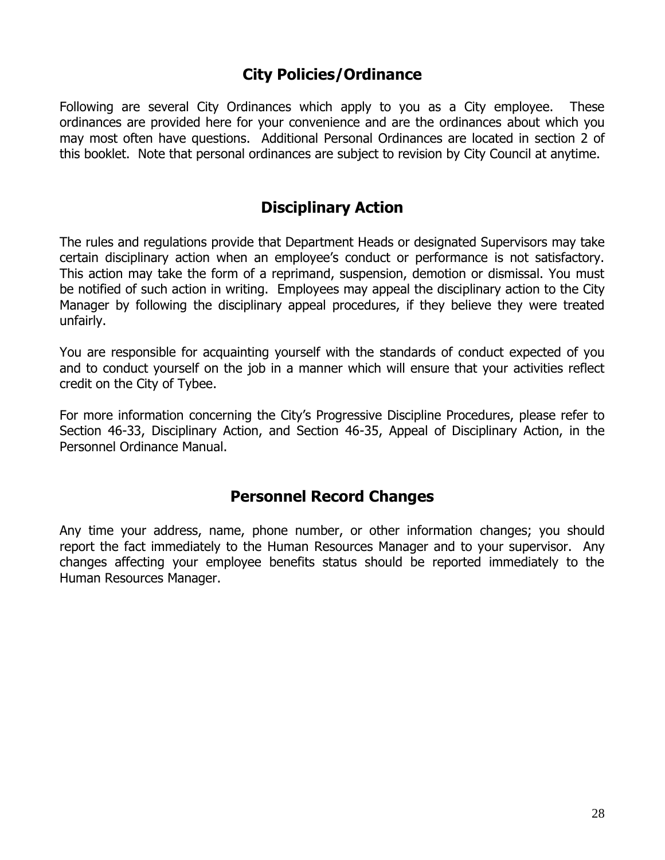## **City Policies/Ordinance**

Following are several City Ordinances which apply to you as a City employee. These ordinances are provided here for your convenience and are the ordinances about which you may most often have questions. Additional Personal Ordinances are located in section 2 of this booklet. Note that personal ordinances are subject to revision by City Council at anytime.

## **Disciplinary Action**

The rules and regulations provide that Department Heads or designated Supervisors may take certain disciplinary action when an employee's conduct or performance is not satisfactory. This action may take the form of a reprimand, suspension, demotion or dismissal. You must be notified of such action in writing. Employees may appeal the disciplinary action to the City Manager by following the disciplinary appeal procedures, if they believe they were treated unfairly.

You are responsible for acquainting yourself with the standards of conduct expected of you and to conduct yourself on the job in a manner which will ensure that your activities reflect credit on the City of Tybee.

For more information concerning the City's Progressive Discipline Procedures, please refer to Section 46-33, Disciplinary Action, and Section 46-35, Appeal of Disciplinary Action, in the Personnel Ordinance Manual.

### **Personnel Record Changes**

Any time your address, name, phone number, or other information changes; you should report the fact immediately to the Human Resources Manager and to your supervisor. Any changes affecting your employee benefits status should be reported immediately to the Human Resources Manager.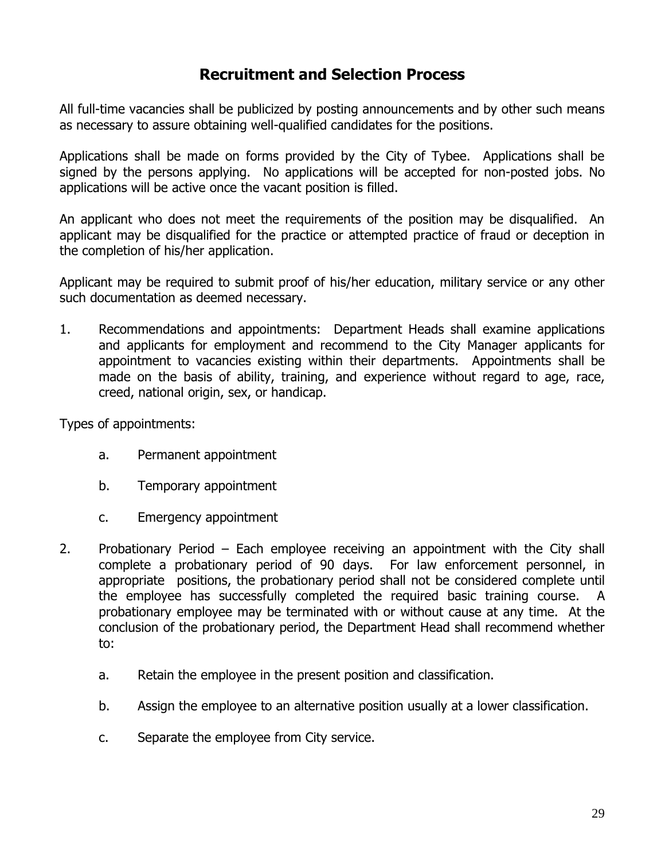## **Recruitment and Selection Process**

All full-time vacancies shall be publicized by posting announcements and by other such means as necessary to assure obtaining well-qualified candidates for the positions.

Applications shall be made on forms provided by the City of Tybee. Applications shall be signed by the persons applying. No applications will be accepted for non-posted jobs. No applications will be active once the vacant position is filled.

An applicant who does not meet the requirements of the position may be disqualified. An applicant may be disqualified for the practice or attempted practice of fraud or deception in the completion of his/her application.

Applicant may be required to submit proof of his/her education, military service or any other such documentation as deemed necessary.

1. Recommendations and appointments: Department Heads shall examine applications and applicants for employment and recommend to the City Manager applicants for appointment to vacancies existing within their departments. Appointments shall be made on the basis of ability, training, and experience without regard to age, race, creed, national origin, sex, or handicap.

Types of appointments:

- a. Permanent appointment
- b. Temporary appointment
- c. Emergency appointment
- 2. Probationary Period Each employee receiving an appointment with the City shall complete a probationary period of 90 days. For law enforcement personnel, in appropriate positions, the probationary period shall not be considered complete until the employee has successfully completed the required basic training course. A probationary employee may be terminated with or without cause at any time. At the conclusion of the probationary period, the Department Head shall recommend whether to:
	- a. Retain the employee in the present position and classification.
	- b. Assign the employee to an alternative position usually at a lower classification.
	- c. Separate the employee from City service.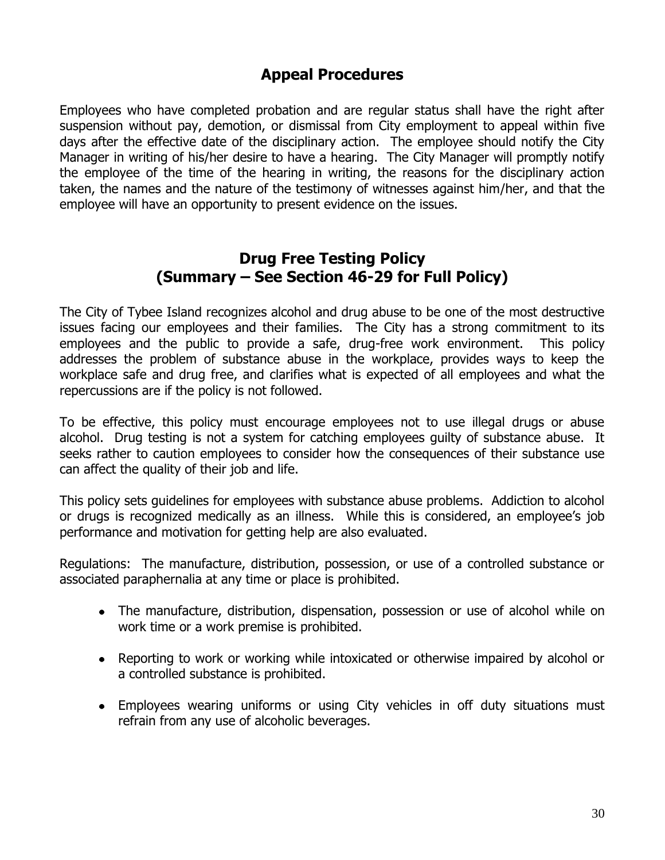## **Appeal Procedures**

Employees who have completed probation and are regular status shall have the right after suspension without pay, demotion, or dismissal from City employment to appeal within five days after the effective date of the disciplinary action. The employee should notify the City Manager in writing of his/her desire to have a hearing. The City Manager will promptly notify the employee of the time of the hearing in writing, the reasons for the disciplinary action taken, the names and the nature of the testimony of witnesses against him/her, and that the employee will have an opportunity to present evidence on the issues.

### **Drug Free Testing Policy (Summary – See Section 46-29 for Full Policy)**

The City of Tybee Island recognizes alcohol and drug abuse to be one of the most destructive issues facing our employees and their families. The City has a strong commitment to its employees and the public to provide a safe, drug-free work environment. This policy addresses the problem of substance abuse in the workplace, provides ways to keep the workplace safe and drug free, and clarifies what is expected of all employees and what the repercussions are if the policy is not followed.

To be effective, this policy must encourage employees not to use illegal drugs or abuse alcohol. Drug testing is not a system for catching employees guilty of substance abuse. It seeks rather to caution employees to consider how the consequences of their substance use can affect the quality of their job and life.

This policy sets guidelines for employees with substance abuse problems. Addiction to alcohol or drugs is recognized medically as an illness. While this is considered, an employee's job performance and motivation for getting help are also evaluated.

Regulations: The manufacture, distribution, possession, or use of a controlled substance or associated paraphernalia at any time or place is prohibited.

- The manufacture, distribution, dispensation, possession or use of alcohol while on work time or a work premise is prohibited.
- Reporting to work or working while intoxicated or otherwise impaired by alcohol or a controlled substance is prohibited.
- Employees wearing uniforms or using City vehicles in off duty situations must refrain from any use of alcoholic beverages.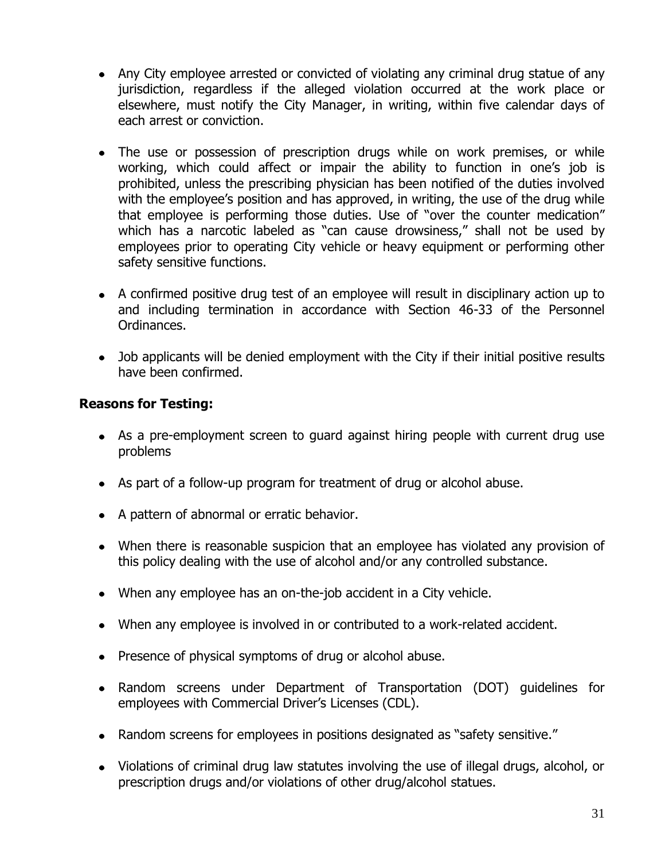- Any City employee arrested or convicted of violating any criminal drug statue of any jurisdiction, regardless if the alleged violation occurred at the work place or elsewhere, must notify the City Manager, in writing, within five calendar days of each arrest or conviction.
- The use or possession of prescription drugs while on work premises, or while working, which could affect or impair the ability to function in one's job is prohibited, unless the prescribing physician has been notified of the duties involved with the employee's position and has approved, in writing, the use of the drug while that employee is performing those duties. Use of "over the counter medication" which has a narcotic labeled as "can cause drowsiness," shall not be used by employees prior to operating City vehicle or heavy equipment or performing other safety sensitive functions.
- A confirmed positive drug test of an employee will result in disciplinary action up to and including termination in accordance with Section 46-33 of the Personnel Ordinances.
- Job applicants will be denied employment with the City if their initial positive results have been confirmed.

### **Reasons for Testing:**

- As a pre-employment screen to guard against hiring people with current drug use problems
- As part of a follow-up program for treatment of drug or alcohol abuse.
- A pattern of abnormal or erratic behavior.
- When there is reasonable suspicion that an employee has violated any provision of this policy dealing with the use of alcohol and/or any controlled substance.
- When any employee has an on-the-job accident in a City vehicle.
- When any employee is involved in or contributed to a work-related accident.
- Presence of physical symptoms of drug or alcohol abuse.
- Random screens under Department of Transportation (DOT) guidelines for employees with Commercial Driver's Licenses (CDL).
- Random screens for employees in positions designated as "safety sensitive."
- Violations of criminal drug law statutes involving the use of illegal drugs, alcohol, or prescription drugs and/or violations of other drug/alcohol statues.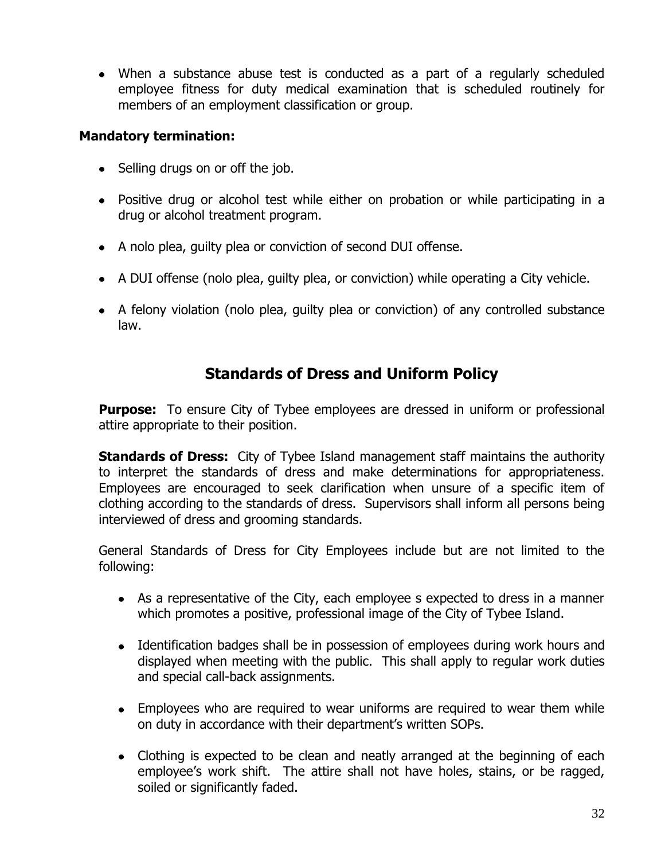When a substance abuse test is conducted as a part of a regularly scheduled employee fitness for duty medical examination that is scheduled routinely for members of an employment classification or group.

### **Mandatory termination:**

- Selling drugs on or off the job.
- Positive drug or alcohol test while either on probation or while participating in a drug or alcohol treatment program.
- A nolo plea, guilty plea or conviction of second DUI offense.
- A DUI offense (nolo plea, guilty plea, or conviction) while operating a City vehicle.
- A felony violation (nolo plea, guilty plea or conviction) of any controlled substance law.

## **Standards of Dress and Uniform Policy**

**Purpose:** To ensure City of Tybee employees are dressed in uniform or professional attire appropriate to their position.

**Standards of Dress:** City of Tybee Island management staff maintains the authority to interpret the standards of dress and make determinations for appropriateness. Employees are encouraged to seek clarification when unsure of a specific item of clothing according to the standards of dress. Supervisors shall inform all persons being interviewed of dress and grooming standards.

General Standards of Dress for City Employees include but are not limited to the following:

- As a representative of the City, each employee s expected to dress in a manner which promotes a positive, professional image of the City of Tybee Island.
- Identification badges shall be in possession of employees during work hours and displayed when meeting with the public. This shall apply to regular work duties and special call-back assignments.
- Employees who are required to wear uniforms are required to wear them while on duty in accordance with their department's written SOPs.
- Clothing is expected to be clean and neatly arranged at the beginning of each employee's work shift. The attire shall not have holes, stains, or be ragged, soiled or significantly faded.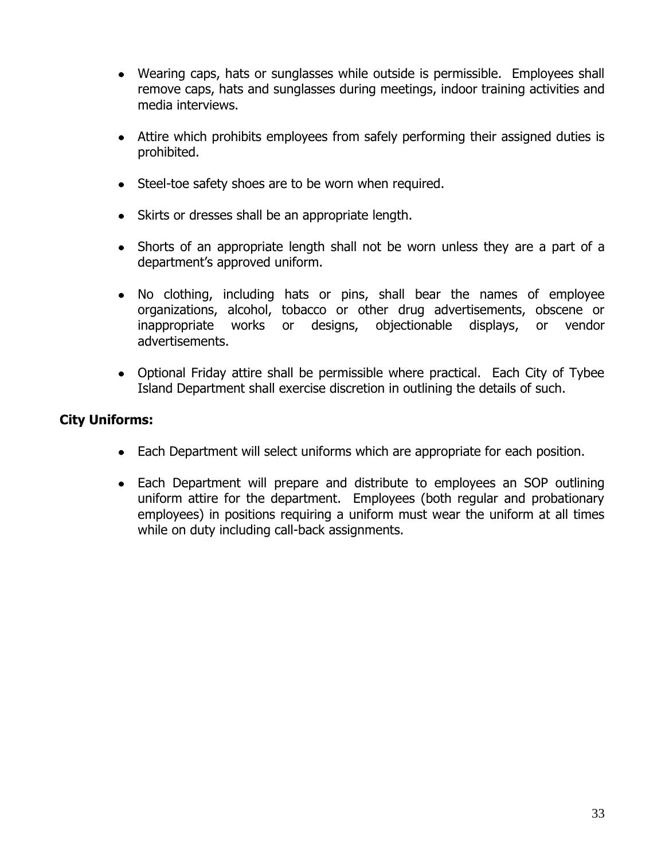- Wearing caps, hats or sunglasses while outside is permissible. Employees shall remove caps, hats and sunglasses during meetings, indoor training activities and media interviews.
- Attire which prohibits employees from safely performing their assigned duties is prohibited.
- Steel-toe safety shoes are to be worn when required.
- Skirts or dresses shall be an appropriate length.
- Shorts of an appropriate length shall not be worn unless they are a part of a department's approved uniform.
- No clothing, including hats or pins, shall bear the names of employee organizations, alcohol, tobacco or other drug advertisements, obscene or inappropriate works or designs, objectionable displays, or vendor advertisements.
- Optional Friday attire shall be permissible where practical. Each City of Tybee Island Department shall exercise discretion in outlining the details of such.

### **City Uniforms:**

- Each Department will select uniforms which are appropriate for each position.
- Each Department will prepare and distribute to employees an SOP outlining uniform attire for the department. Employees (both regular and probationary employees) in positions requiring a uniform must wear the uniform at all times while on duty including call-back assignments.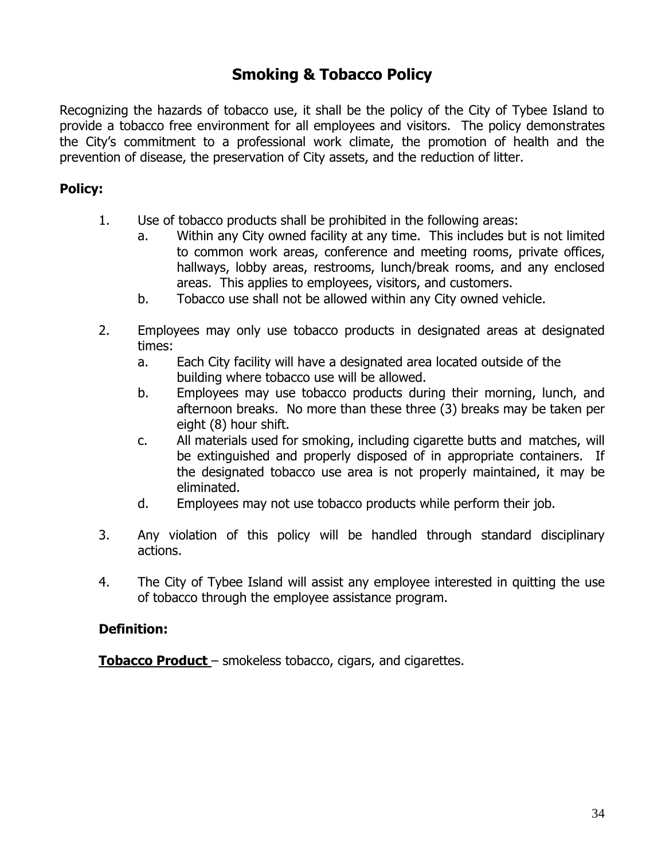## **Smoking & Tobacco Policy**

Recognizing the hazards of tobacco use, it shall be the policy of the City of Tybee Island to provide a tobacco free environment for all employees and visitors. The policy demonstrates the City's commitment to a professional work climate, the promotion of health and the prevention of disease, the preservation of City assets, and the reduction of litter.

### **Policy:**

- 1. Use of tobacco products shall be prohibited in the following areas:
	- a. Within any City owned facility at any time. This includes but is not limited to common work areas, conference and meeting rooms, private offices, hallways, lobby areas, restrooms, lunch/break rooms, and any enclosed areas. This applies to employees, visitors, and customers.
	- b. Tobacco use shall not be allowed within any City owned vehicle.
- 2. Employees may only use tobacco products in designated areas at designated times:
	- a. Each City facility will have a designated area located outside of the building where tobacco use will be allowed.
	- b. Employees may use tobacco products during their morning, lunch, and afternoon breaks. No more than these three (3) breaks may be taken per eight (8) hour shift.
	- c. All materials used for smoking, including cigarette butts and matches, will be extinguished and properly disposed of in appropriate containers. If the designated tobacco use area is not properly maintained, it may be eliminated.
	- d. Employees may not use tobacco products while perform their job.
- 3. Any violation of this policy will be handled through standard disciplinary actions.
- 4. The City of Tybee Island will assist any employee interested in quitting the use of tobacco through the employee assistance program.

### **Definition:**

**Tobacco Product** – smokeless tobacco, cigars, and cigarettes.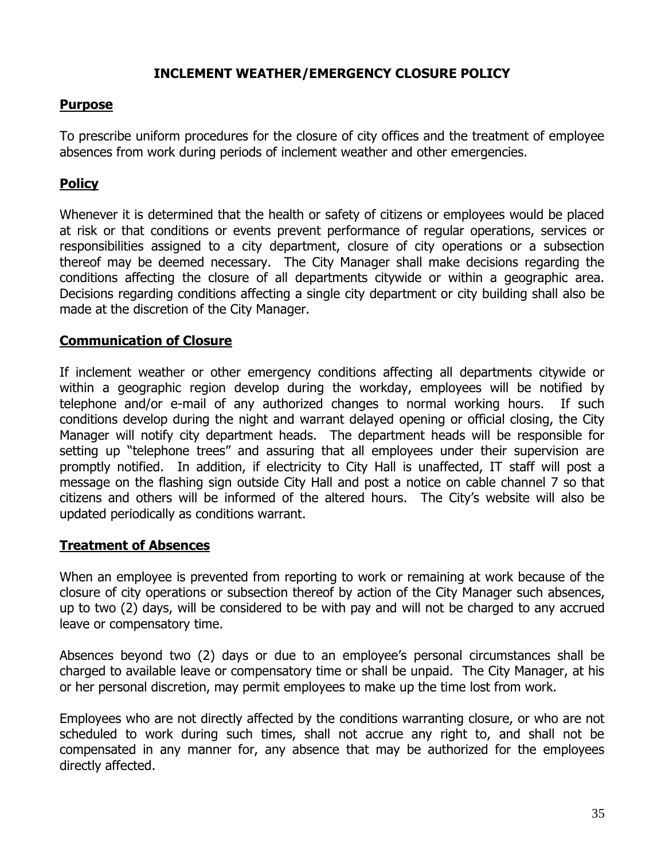### **INCLEMENT WEATHER/EMERGENCY CLOSURE POLICY**

### **Purpose**

To prescribe uniform procedures for the closure of city offices and the treatment of employee absences from work during periods of inclement weather and other emergencies.

### **Policy**

Whenever it is determined that the health or safety of citizens or employees would be placed at risk or that conditions or events prevent performance of regular operations, services or responsibilities assigned to a city department, closure of city operations or a subsection thereof may be deemed necessary. The City Manager shall make decisions regarding the conditions affecting the closure of all departments citywide or within a geographic area. Decisions regarding conditions affecting a single city department or city building shall also be made at the discretion of the City Manager.

### **Communication of Closure**

If inclement weather or other emergency conditions affecting all departments citywide or within a geographic region develop during the workday, employees will be notified by telephone and/or e-mail of any authorized changes to normal working hours. If such conditions develop during the night and warrant delayed opening or official closing, the City Manager will notify city department heads. The department heads will be responsible for setting up "telephone trees" and assuring that all employees under their supervision are promptly notified. In addition, if electricity to City Hall is unaffected, IT staff will post a message on the flashing sign outside City Hall and post a notice on cable channel 7 so that citizens and others will be informed of the altered hours. The City's website will also be updated periodically as conditions warrant.

### **Treatment of Absences**

When an employee is prevented from reporting to work or remaining at work because of the closure of city operations or subsection thereof by action of the City Manager such absences, up to two (2) days, will be considered to be with pay and will not be charged to any accrued leave or compensatory time.

Absences beyond two (2) days or due to an employee's personal circumstances shall be charged to available leave or compensatory time or shall be unpaid. The City Manager, at his or her personal discretion, may permit employees to make up the time lost from work.

Employees who are not directly affected by the conditions warranting closure, or who are not scheduled to work during such times, shall not accrue any right to, and shall not be compensated in any manner for, any absence that may be authorized for the employees directly affected.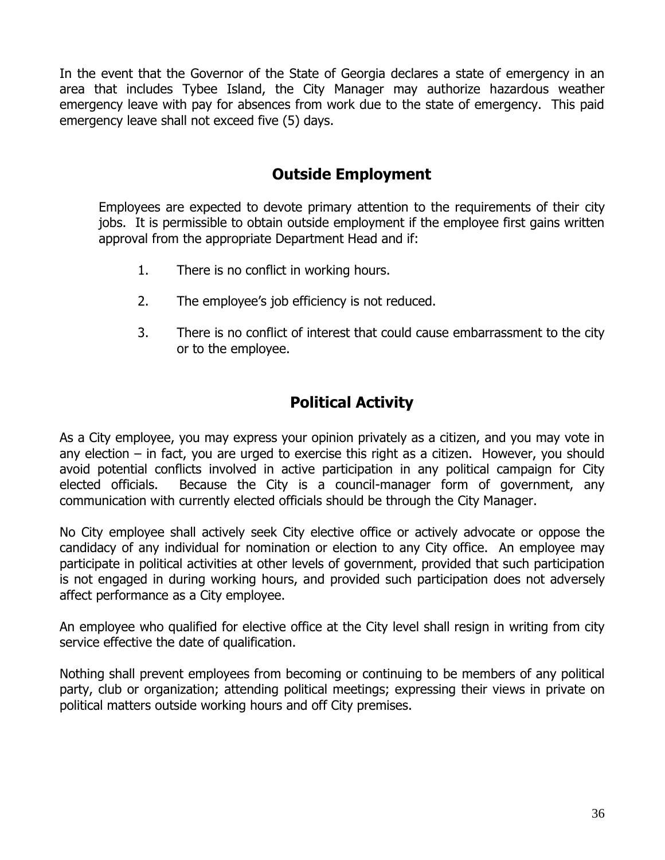In the event that the Governor of the State of Georgia declares a state of emergency in an area that includes Tybee Island, the City Manager may authorize hazardous weather emergency leave with pay for absences from work due to the state of emergency. This paid emergency leave shall not exceed five (5) days.

## **Outside Employment**

Employees are expected to devote primary attention to the requirements of their city jobs. It is permissible to obtain outside employment if the employee first gains written approval from the appropriate Department Head and if:

- 1. There is no conflict in working hours.
- 2. The employee's job efficiency is not reduced.
- 3. There is no conflict of interest that could cause embarrassment to the city or to the employee.

# **Political Activity**

As a City employee, you may express your opinion privately as a citizen, and you may vote in any election – in fact, you are urged to exercise this right as a citizen. However, you should avoid potential conflicts involved in active participation in any political campaign for City elected officials. Because the City is a council-manager form of government, any communication with currently elected officials should be through the City Manager.

No City employee shall actively seek City elective office or actively advocate or oppose the candidacy of any individual for nomination or election to any City office. An employee may participate in political activities at other levels of government, provided that such participation is not engaged in during working hours, and provided such participation does not adversely affect performance as a City employee.

An employee who qualified for elective office at the City level shall resign in writing from city service effective the date of qualification.

Nothing shall prevent employees from becoming or continuing to be members of any political party, club or organization; attending political meetings; expressing their views in private on political matters outside working hours and off City premises.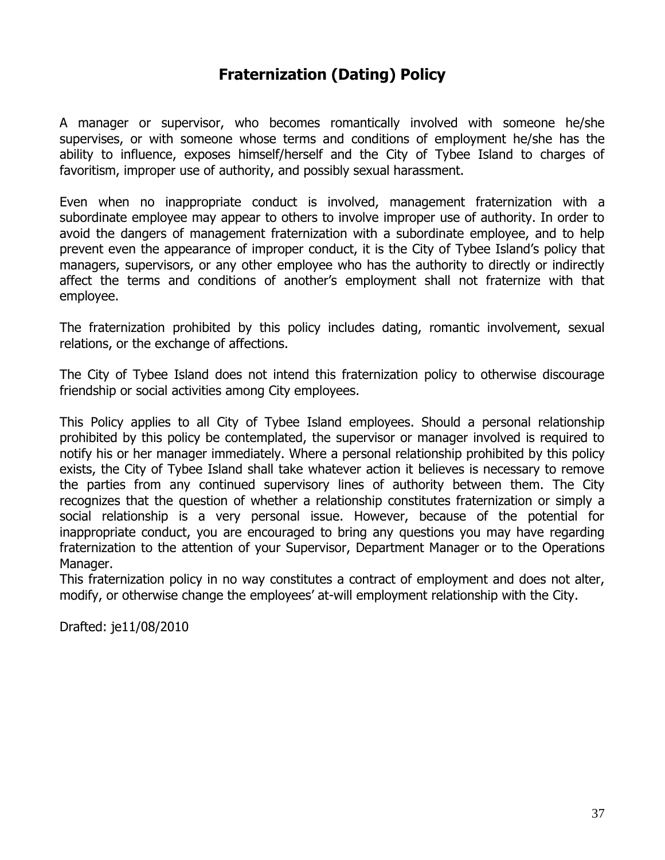## **Fraternization (Dating) Policy**

A manager or supervisor, who becomes romantically involved with someone he/she supervises, or with someone whose terms and conditions of employment he/she has the ability to influence, exposes himself/herself and the City of Tybee Island to charges of favoritism, improper use of authority, and possibly sexual harassment.

Even when no inappropriate conduct is involved, management fraternization with a subordinate employee may appear to others to involve improper use of authority. In order to avoid the dangers of management fraternization with a subordinate employee, and to help prevent even the appearance of improper conduct, it is the City of Tybee Island's policy that managers, supervisors, or any other employee who has the authority to directly or indirectly affect the terms and conditions of another's employment shall not fraternize with that employee.

The fraternization prohibited by this policy includes dating, romantic involvement, sexual relations, or the exchange of affections.

The City of Tybee Island does not intend this fraternization policy to otherwise discourage friendship or social activities among City employees.

This Policy applies to all City of Tybee Island employees. Should a personal relationship prohibited by this policy be contemplated, the supervisor or manager involved is required to notify his or her manager immediately. Where a personal relationship prohibited by this policy exists, the City of Tybee Island shall take whatever action it believes is necessary to remove the parties from any continued supervisory lines of authority between them. The City recognizes that the question of whether a relationship constitutes fraternization or simply a social relationship is a very personal issue. However, because of the potential for inappropriate conduct, you are encouraged to bring any questions you may have regarding fraternization to the attention of your Supervisor, Department Manager or to the Operations Manager.

This fraternization policy in no way constitutes a contract of employment and does not alter, modify, or otherwise change the employees' at-will employment relationship with the City.

Drafted: je11/08/2010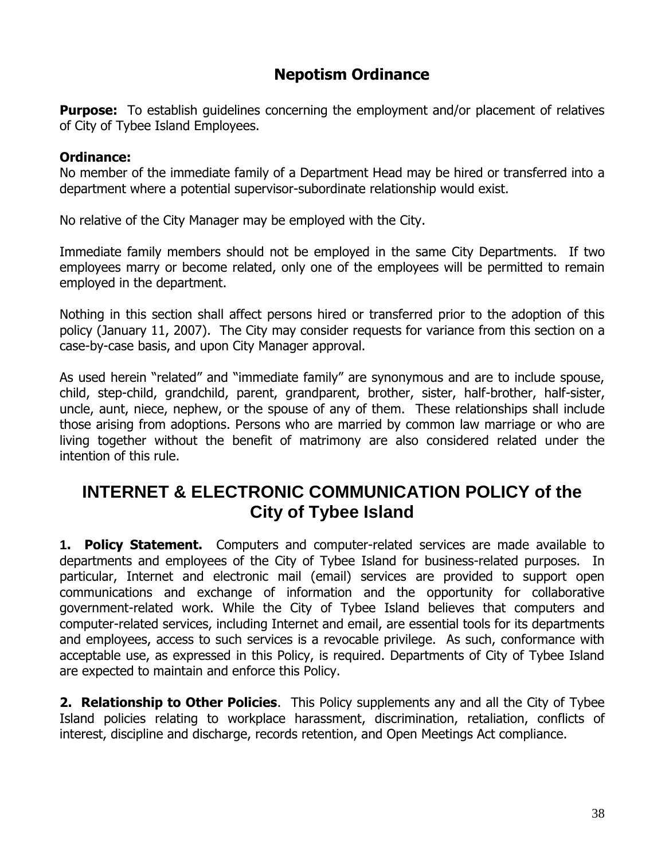## **Nepotism Ordinance**

**Purpose:** To establish quidelines concerning the employment and/or placement of relatives of City of Tybee Island Employees.

#### **Ordinance:**

No member of the immediate family of a Department Head may be hired or transferred into a department where a potential supervisor-subordinate relationship would exist.

No relative of the City Manager may be employed with the City.

Immediate family members should not be employed in the same City Departments. If two employees marry or become related, only one of the employees will be permitted to remain employed in the department.

Nothing in this section shall affect persons hired or transferred prior to the adoption of this policy (January 11, 2007). The City may consider requests for variance from this section on a case-by-case basis, and upon City Manager approval.

As used herein "related" and "immediate family" are synonymous and are to include spouse, child, step-child, grandchild, parent, grandparent, brother, sister, half-brother, half-sister, uncle, aunt, niece, nephew, or the spouse of any of them. These relationships shall include those arising from adoptions. Persons who are married by common law marriage or who are living together without the benefit of matrimony are also considered related under the intention of this rule.

# **INTERNET & ELECTRONIC COMMUNICATION POLICY of the City of Tybee Island**

**1. Policy Statement.** Computers and computer-related services are made available to departments and employees of the City of Tybee Island for business-related purposes. In particular, Internet and electronic mail (email) services are provided to support open communications and exchange of information and the opportunity for collaborative government-related work. While the City of Tybee Island believes that computers and computer-related services, including Internet and email, are essential tools for its departments and employees, access to such services is a revocable privilege. As such, conformance with acceptable use, as expressed in this Policy, is required. Departments of City of Tybee Island are expected to maintain and enforce this Policy.

**2. Relationship to Other Policies**. This Policy supplements any and all the City of Tybee Island policies relating to workplace harassment, discrimination, retaliation, conflicts of interest, discipline and discharge, records retention, and Open Meetings Act compliance.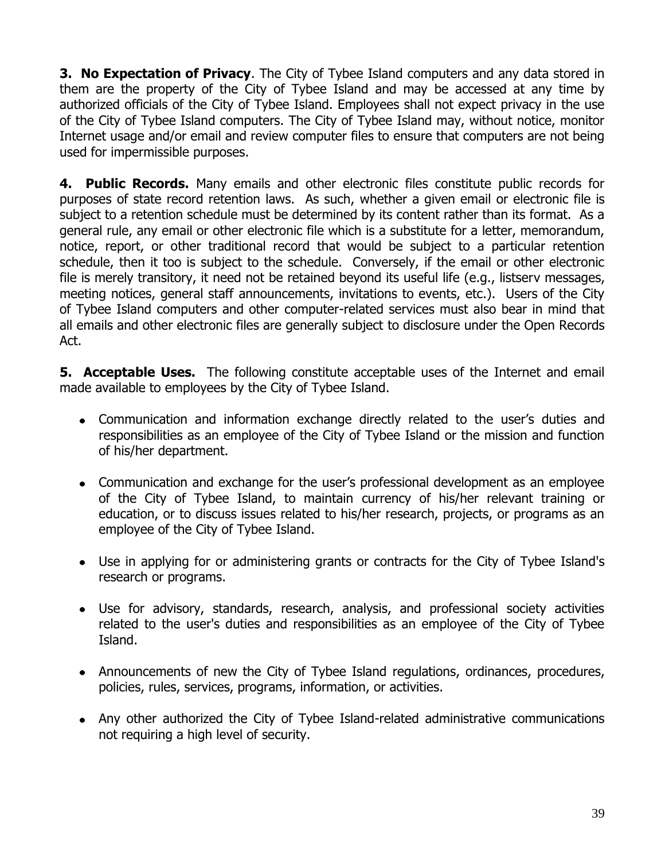**3. No Expectation of Privacy**. The City of Tybee Island computers and any data stored in them are the property of the City of Tybee Island and may be accessed at any time by authorized officials of the City of Tybee Island. Employees shall not expect privacy in the use of the City of Tybee Island computers. The City of Tybee Island may, without notice, monitor Internet usage and/or email and review computer files to ensure that computers are not being used for impermissible purposes.

**4. Public Records.** Many emails and other electronic files constitute public records for purposes of state record retention laws. As such, whether a given email or electronic file is subject to a retention schedule must be determined by its content rather than its format. As a general rule, any email or other electronic file which is a substitute for a letter, memorandum, notice, report, or other traditional record that would be subject to a particular retention schedule, then it too is subject to the schedule. Conversely, if the email or other electronic file is merely transitory, it need not be retained beyond its useful life (e.g., listserv messages, meeting notices, general staff announcements, invitations to events, etc.). Users of the City of Tybee Island computers and other computer-related services must also bear in mind that all emails and other electronic files are generally subject to disclosure under the Open Records Act.

**5. Acceptable Uses.** The following constitute acceptable uses of the Internet and email made available to employees by the City of Tybee Island.

- Communication and information exchange directly related to the user's duties and responsibilities as an employee of the City of Tybee Island or the mission and function of his/her department.
- Communication and exchange for the user's professional development as an employee of the City of Tybee Island, to maintain currency of his/her relevant training or education, or to discuss issues related to his/her research, projects, or programs as an employee of the City of Tybee Island.
- Use in applying for or administering grants or contracts for the City of Tybee Island's research or programs.
- Use for advisory, standards, research, analysis, and professional society activities related to the user's duties and responsibilities as an employee of the City of Tybee Island.
- Announcements of new the City of Tybee Island regulations, ordinances, procedures, policies, rules, services, programs, information, or activities.
- Any other authorized the City of Tybee Island-related administrative communications not requiring a high level of security.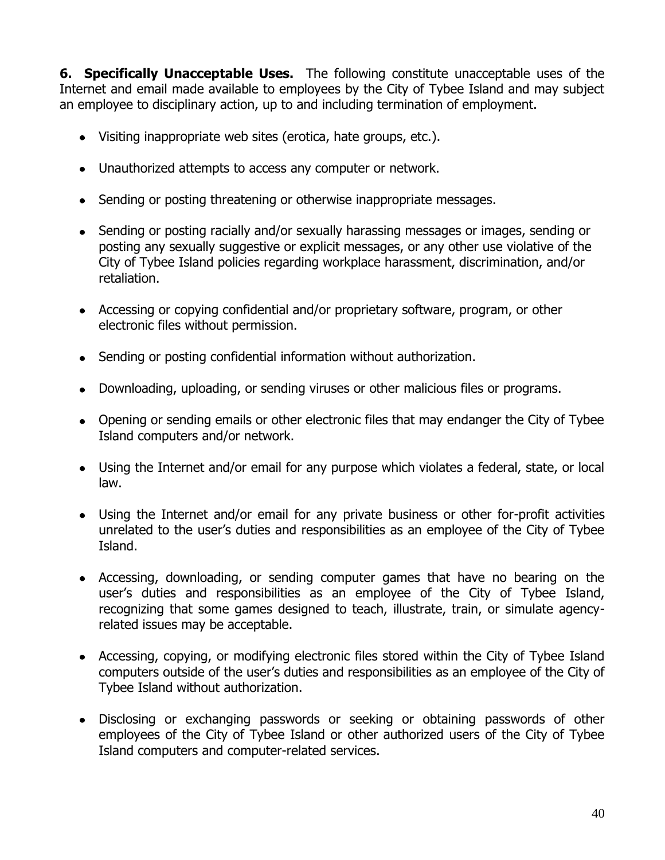**6. Specifically Unacceptable Uses.** The following constitute unacceptable uses of the Internet and email made available to employees by the City of Tybee Island and may subject an employee to disciplinary action, up to and including termination of employment.

- Visiting inappropriate web sites (erotica, hate groups, etc.).
- Unauthorized attempts to access any computer or network.
- Sending or posting threatening or otherwise inappropriate messages.
- Sending or posting racially and/or sexually harassing messages or images, sending or posting any sexually suggestive or explicit messages, or any other use violative of the City of Tybee Island policies regarding workplace harassment, discrimination, and/or retaliation.
- Accessing or copying confidential and/or proprietary software, program, or other electronic files without permission.
- Sending or posting confidential information without authorization.
- Downloading, uploading, or sending viruses or other malicious files or programs.
- Opening or sending emails or other electronic files that may endanger the City of Tybee Island computers and/or network.
- Using the Internet and/or email for any purpose which violates a federal, state, or local law.
- Using the Internet and/or email for any private business or other for-profit activities unrelated to the user's duties and responsibilities as an employee of the City of Tybee Island.
- Accessing, downloading, or sending computer games that have no bearing on the user's duties and responsibilities as an employee of the City of Tybee Island, recognizing that some games designed to teach, illustrate, train, or simulate agencyrelated issues may be acceptable.
- Accessing, copying, or modifying electronic files stored within the City of Tybee Island computers outside of the user's duties and responsibilities as an employee of the City of Tybee Island without authorization.
- Disclosing or exchanging passwords or seeking or obtaining passwords of other employees of the City of Tybee Island or other authorized users of the City of Tybee Island computers and computer-related services.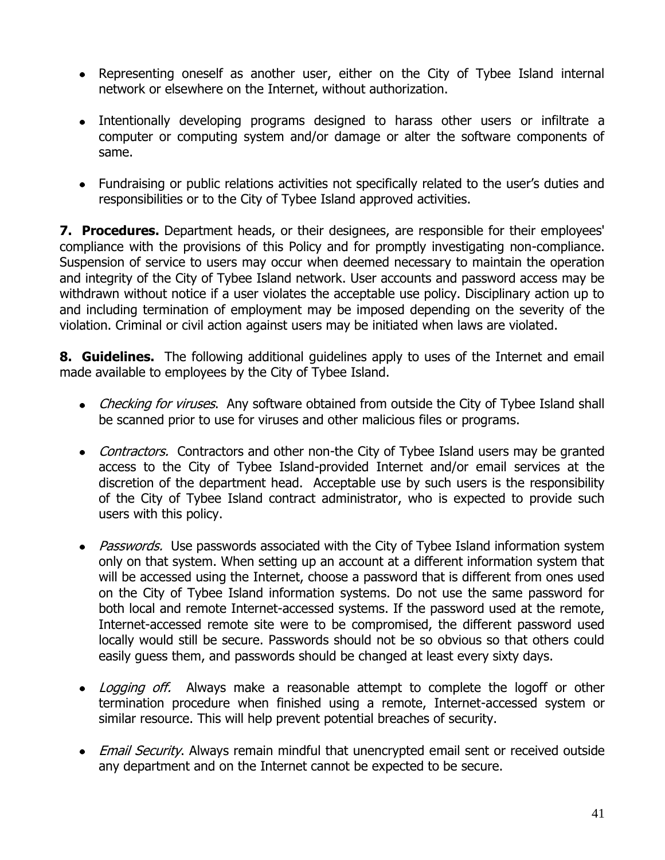- Representing oneself as another user, either on the City of Tybee Island internal network or elsewhere on the Internet, without authorization.
- Intentionally developing programs designed to harass other users or infiltrate a computer or computing system and/or damage or alter the software components of same.
- Fundraising or public relations activities not specifically related to the user's duties and responsibilities or to the City of Tybee Island approved activities.

**7. Procedures.** Department heads, or their designees, are responsible for their employees' compliance with the provisions of this Policy and for promptly investigating non-compliance. Suspension of service to users may occur when deemed necessary to maintain the operation and integrity of the City of Tybee Island network. User accounts and password access may be withdrawn without notice if a user violates the acceptable use policy. Disciplinary action up to and including termination of employment may be imposed depending on the severity of the violation. Criminal or civil action against users may be initiated when laws are violated.

**8. Guidelines.** The following additional guidelines apply to uses of the Internet and email made available to employees by the City of Tybee Island.

- Checking for viruses. Any software obtained from outside the City of Tybee Island shall be scanned prior to use for viruses and other malicious files or programs.
- Contractors. Contractors and other non-the City of Tybee Island users may be granted access to the City of Tybee Island-provided Internet and/or email services at the discretion of the department head. Acceptable use by such users is the responsibility of the City of Tybee Island contract administrator, who is expected to provide such users with this policy.
- Passwords. Use passwords associated with the City of Tybee Island information system only on that system. When setting up an account at a different information system that will be accessed using the Internet, choose a password that is different from ones used on the City of Tybee Island information systems. Do not use the same password for both local and remote Internet-accessed systems. If the password used at the remote, Internet-accessed remote site were to be compromised, the different password used locally would still be secure. Passwords should not be so obvious so that others could easily guess them, and passwords should be changed at least every sixty days.
- Logging off. Always make a reasonable attempt to complete the logoff or other termination procedure when finished using a remote, Internet-accessed system or similar resource. This will help prevent potential breaches of security.
- Email Security. Always remain mindful that unencrypted email sent or received outside any department and on the Internet cannot be expected to be secure.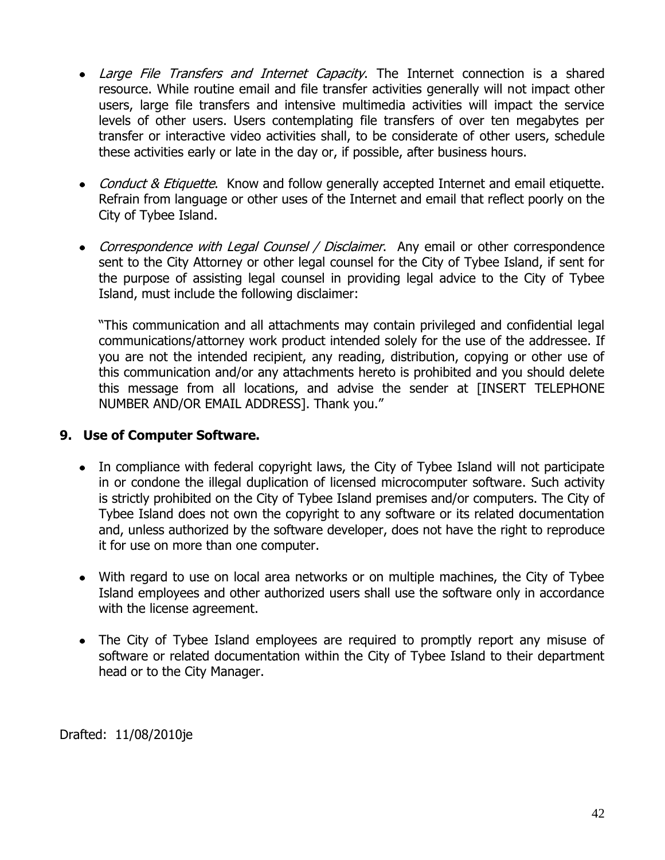- Large File Transfers and Internet Capacity. The Internet connection is a shared resource. While routine email and file transfer activities generally will not impact other users, large file transfers and intensive multimedia activities will impact the service levels of other users. Users contemplating file transfers of over ten megabytes per transfer or interactive video activities shall, to be considerate of other users, schedule these activities early or late in the day or, if possible, after business hours.
- Conduct & Etiquette. Know and follow generally accepted Internet and email etiquette. Refrain from language or other uses of the Internet and email that reflect poorly on the City of Tybee Island.
- Correspondence with Legal Counsel / Disclaimer. Any email or other correspondence sent to the City Attorney or other legal counsel for the City of Tybee Island, if sent for the purpose of assisting legal counsel in providing legal advice to the City of Tybee Island, must include the following disclaimer:

"This communication and all attachments may contain privileged and confidential legal communications/attorney work product intended solely for the use of the addressee. If you are not the intended recipient, any reading, distribution, copying or other use of this communication and/or any attachments hereto is prohibited and you should delete this message from all locations, and advise the sender at [INSERT TELEPHONE NUMBER AND/OR EMAIL ADDRESS]. Thank you."

### **9. Use of Computer Software.**

- In compliance with federal copyright laws, the City of Tybee Island will not participate in or condone the illegal duplication of licensed microcomputer software. Such activity is strictly prohibited on the City of Tybee Island premises and/or computers. The City of Tybee Island does not own the copyright to any software or its related documentation and, unless authorized by the software developer, does not have the right to reproduce it for use on more than one computer.
- With regard to use on local area networks or on multiple machines, the City of Tybee Island employees and other authorized users shall use the software only in accordance with the license agreement.
- The City of Tybee Island employees are required to promptly report any misuse of software or related documentation within the City of Tybee Island to their department head or to the City Manager.

Drafted: 11/08/2010je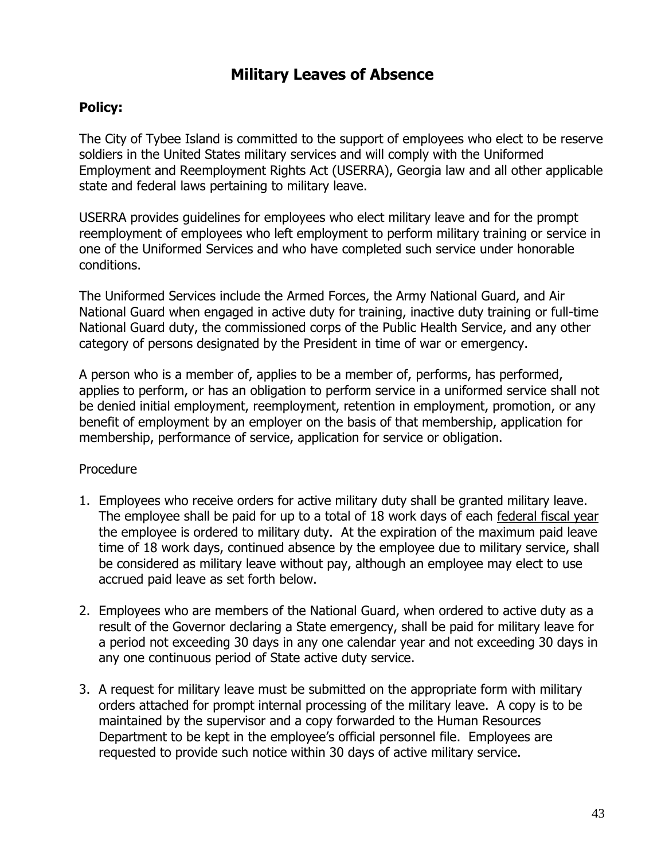## **Military Leaves of Absence**

### **Policy:**

The City of Tybee Island is committed to the support of employees who elect to be reserve soldiers in the United States military services and will comply with the Uniformed Employment and Reemployment Rights Act (USERRA), Georgia law and all other applicable state and federal laws pertaining to military leave.

USERRA provides guidelines for employees who elect military leave and for the prompt reemployment of employees who left employment to perform military training or service in one of the Uniformed Services and who have completed such service under honorable conditions.

The Uniformed Services include the Armed Forces, the Army National Guard, and Air National Guard when engaged in active duty for training, inactive duty training or full-time National Guard duty, the commissioned corps of the Public Health Service, and any other category of persons designated by the President in time of war or emergency.

A person who is a member of, applies to be a member of, performs, has performed, applies to perform, or has an obligation to perform service in a uniformed service shall not be denied initial employment, reemployment, retention in employment, promotion, or any benefit of employment by an employer on the basis of that membership, application for membership, performance of service, application for service or obligation.

### Procedure

- 1. Employees who receive orders for active military duty shall be granted military leave. The employee shall be paid for up to a total of 18 work days of each federal fiscal year the employee is ordered to military duty. At the expiration of the maximum paid leave time of 18 work days, continued absence by the employee due to military service, shall be considered as military leave without pay, although an employee may elect to use accrued paid leave as set forth below.
- 2. Employees who are members of the National Guard, when ordered to active duty as a result of the Governor declaring a State emergency, shall be paid for military leave for a period not exceeding 30 days in any one calendar year and not exceeding 30 days in any one continuous period of State active duty service.
- 3. A request for military leave must be submitted on the appropriate form with military orders attached for prompt internal processing of the military leave. A copy is to be maintained by the supervisor and a copy forwarded to the Human Resources Department to be kept in the employee's official personnel file. Employees are requested to provide such notice within 30 days of active military service.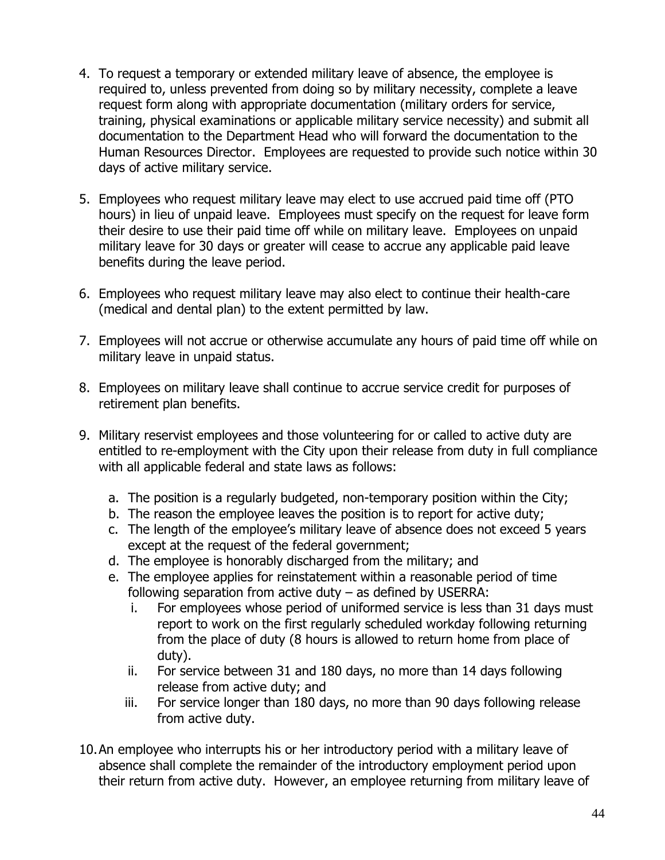- 4. To request a temporary or extended military leave of absence, the employee is required to, unless prevented from doing so by military necessity, complete a leave request form along with appropriate documentation (military orders for service, training, physical examinations or applicable military service necessity) and submit all documentation to the Department Head who will forward the documentation to the Human Resources Director. Employees are requested to provide such notice within 30 days of active military service.
- 5. Employees who request military leave may elect to use accrued paid time off (PTO hours) in lieu of unpaid leave. Employees must specify on the request for leave form their desire to use their paid time off while on military leave. Employees on unpaid military leave for 30 days or greater will cease to accrue any applicable paid leave benefits during the leave period.
- 6. Employees who request military leave may also elect to continue their health-care (medical and dental plan) to the extent permitted by law.
- 7. Employees will not accrue or otherwise accumulate any hours of paid time off while on military leave in unpaid status.
- 8. Employees on military leave shall continue to accrue service credit for purposes of retirement plan benefits.
- 9. Military reservist employees and those volunteering for or called to active duty are entitled to re-employment with the City upon their release from duty in full compliance with all applicable federal and state laws as follows:
	- a. The position is a regularly budgeted, non-temporary position within the City;
	- b. The reason the employee leaves the position is to report for active duty;
	- c. The length of the employee's military leave of absence does not exceed 5 years except at the request of the federal government;
	- d. The employee is honorably discharged from the military; and
	- e. The employee applies for reinstatement within a reasonable period of time following separation from active duty  $-$  as defined by USERRA:
		- i. For employees whose period of uniformed service is less than 31 days must report to work on the first regularly scheduled workday following returning from the place of duty (8 hours is allowed to return home from place of duty).
		- ii. For service between 31 and 180 days, no more than 14 days following release from active duty; and
		- iii. For service longer than 180 days, no more than 90 days following release from active duty.
- 10.An employee who interrupts his or her introductory period with a military leave of absence shall complete the remainder of the introductory employment period upon their return from active duty. However, an employee returning from military leave of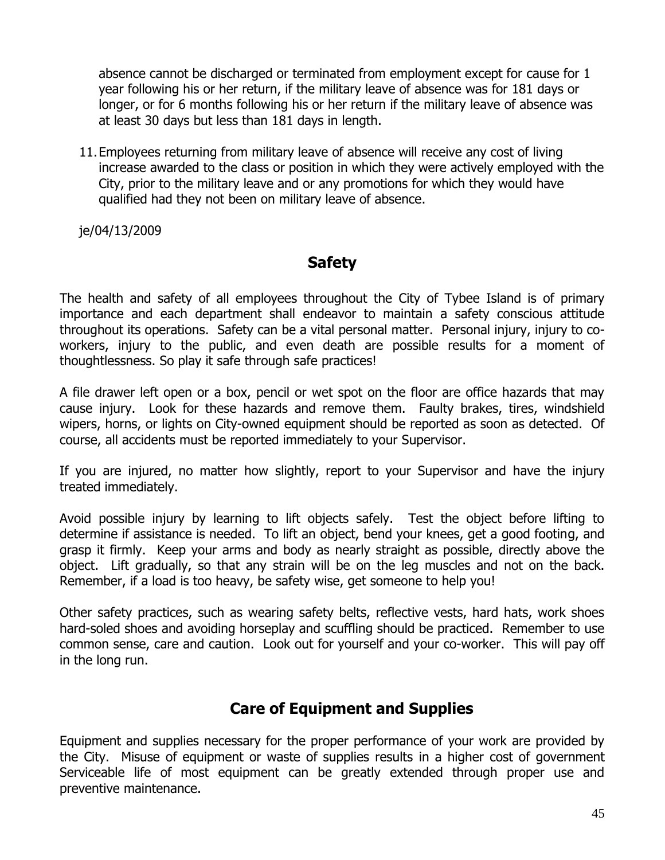absence cannot be discharged or terminated from employment except for cause for 1 year following his or her return, if the military leave of absence was for 181 days or longer, or for 6 months following his or her return if the military leave of absence was at least 30 days but less than 181 days in length.

11.Employees returning from military leave of absence will receive any cost of living increase awarded to the class or position in which they were actively employed with the City, prior to the military leave and or any promotions for which they would have qualified had they not been on military leave of absence.

je/04/13/2009

## **Safety**

The health and safety of all employees throughout the City of Tybee Island is of primary importance and each department shall endeavor to maintain a safety conscious attitude throughout its operations. Safety can be a vital personal matter. Personal injury, injury to coworkers, injury to the public, and even death are possible results for a moment of thoughtlessness. So play it safe through safe practices!

A file drawer left open or a box, pencil or wet spot on the floor are office hazards that may cause injury. Look for these hazards and remove them. Faulty brakes, tires, windshield wipers, horns, or lights on City-owned equipment should be reported as soon as detected. Of course, all accidents must be reported immediately to your Supervisor.

If you are injured, no matter how slightly, report to your Supervisor and have the injury treated immediately.

Avoid possible injury by learning to lift objects safely. Test the object before lifting to determine if assistance is needed. To lift an object, bend your knees, get a good footing, and grasp it firmly. Keep your arms and body as nearly straight as possible, directly above the object. Lift gradually, so that any strain will be on the leg muscles and not on the back. Remember, if a load is too heavy, be safety wise, get someone to help you!

Other safety practices, such as wearing safety belts, reflective vests, hard hats, work shoes hard-soled shoes and avoiding horseplay and scuffling should be practiced. Remember to use common sense, care and caution. Look out for yourself and your co-worker. This will pay off in the long run.

## **Care of Equipment and Supplies**

Equipment and supplies necessary for the proper performance of your work are provided by the City. Misuse of equipment or waste of supplies results in a higher cost of government Serviceable life of most equipment can be greatly extended through proper use and preventive maintenance.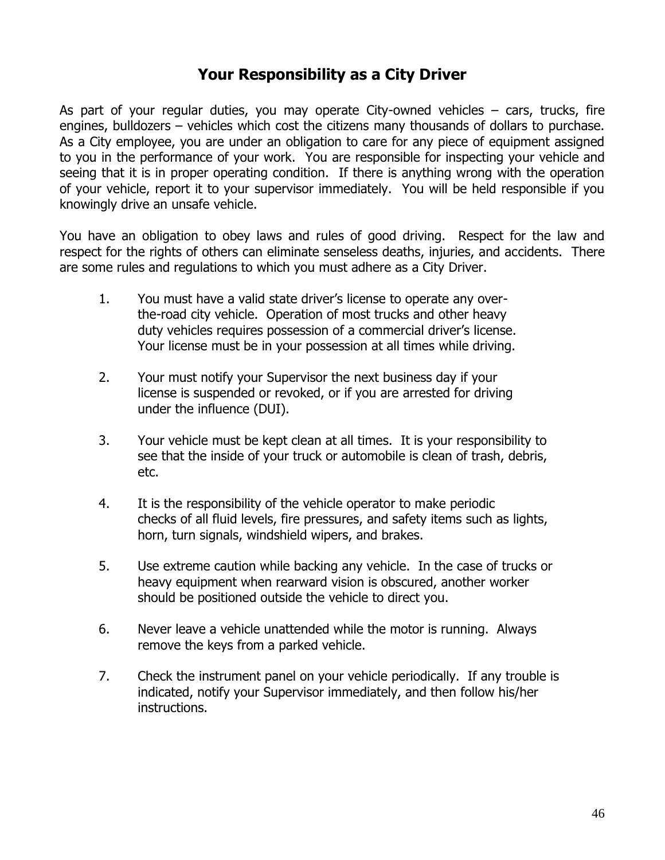## **Your Responsibility as a City Driver**

As part of your regular duties, you may operate City-owned vehicles – cars, trucks, fire engines, bulldozers – vehicles which cost the citizens many thousands of dollars to purchase. As a City employee, you are under an obligation to care for any piece of equipment assigned to you in the performance of your work. You are responsible for inspecting your vehicle and seeing that it is in proper operating condition. If there is anything wrong with the operation of your vehicle, report it to your supervisor immediately. You will be held responsible if you knowingly drive an unsafe vehicle.

You have an obligation to obey laws and rules of good driving. Respect for the law and respect for the rights of others can eliminate senseless deaths, injuries, and accidents. There are some rules and regulations to which you must adhere as a City Driver.

- 1. You must have a valid state driver's license to operate any overthe-road city vehicle. Operation of most trucks and other heavy duty vehicles requires possession of a commercial driver's license. Your license must be in your possession at all times while driving.
- 2. Your must notify your Supervisor the next business day if your license is suspended or revoked, or if you are arrested for driving under the influence (DUI).
- 3. Your vehicle must be kept clean at all times. It is your responsibility to see that the inside of your truck or automobile is clean of trash, debris, etc.
- 4. It is the responsibility of the vehicle operator to make periodic checks of all fluid levels, fire pressures, and safety items such as lights, horn, turn signals, windshield wipers, and brakes.
- 5. Use extreme caution while backing any vehicle. In the case of trucks or heavy equipment when rearward vision is obscured, another worker should be positioned outside the vehicle to direct you.
- 6. Never leave a vehicle unattended while the motor is running. Always remove the keys from a parked vehicle.
- 7. Check the instrument panel on your vehicle periodically. If any trouble is indicated, notify your Supervisor immediately, and then follow his/her instructions.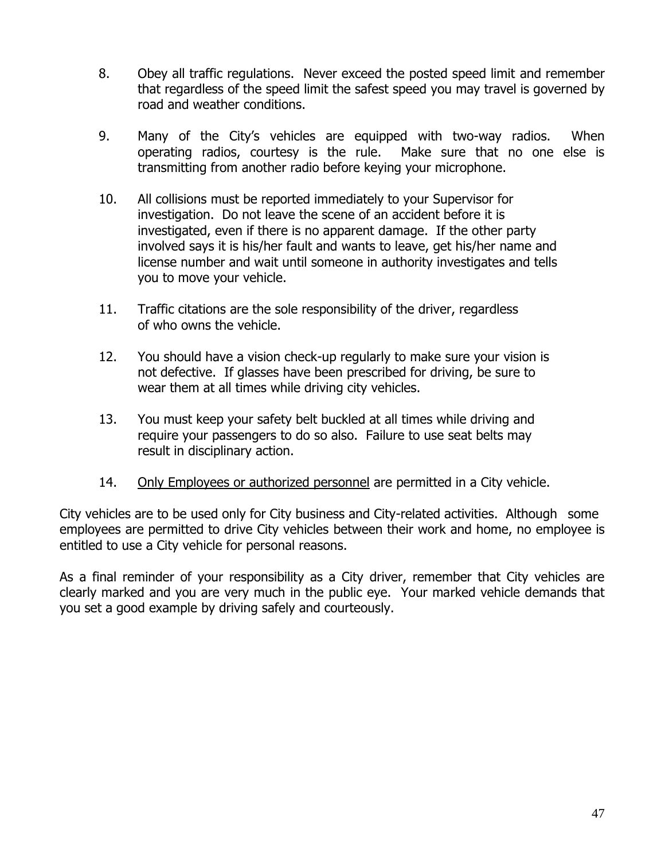- 8. Obey all traffic regulations. Never exceed the posted speed limit and remember that regardless of the speed limit the safest speed you may travel is governed by road and weather conditions.
- 9. Many of the City's vehicles are equipped with two-way radios. When operating radios, courtesy is the rule. Make sure that no one else is transmitting from another radio before keying your microphone.
- 10. All collisions must be reported immediately to your Supervisor for investigation. Do not leave the scene of an accident before it is investigated, even if there is no apparent damage. If the other party involved says it is his/her fault and wants to leave, get his/her name and license number and wait until someone in authority investigates and tells you to move your vehicle.
- 11. Traffic citations are the sole responsibility of the driver, regardless of who owns the vehicle.
- 12. You should have a vision check-up regularly to make sure your vision is not defective. If glasses have been prescribed for driving, be sure to wear them at all times while driving city vehicles.
- 13. You must keep your safety belt buckled at all times while driving and require your passengers to do so also. Failure to use seat belts may result in disciplinary action.
- 14. Only Employees or authorized personnel are permitted in a City vehicle.

City vehicles are to be used only for City business and City-related activities. Although some employees are permitted to drive City vehicles between their work and home, no employee is entitled to use a City vehicle for personal reasons.

As a final reminder of your responsibility as a City driver, remember that City vehicles are clearly marked and you are very much in the public eye. Your marked vehicle demands that you set a good example by driving safely and courteously.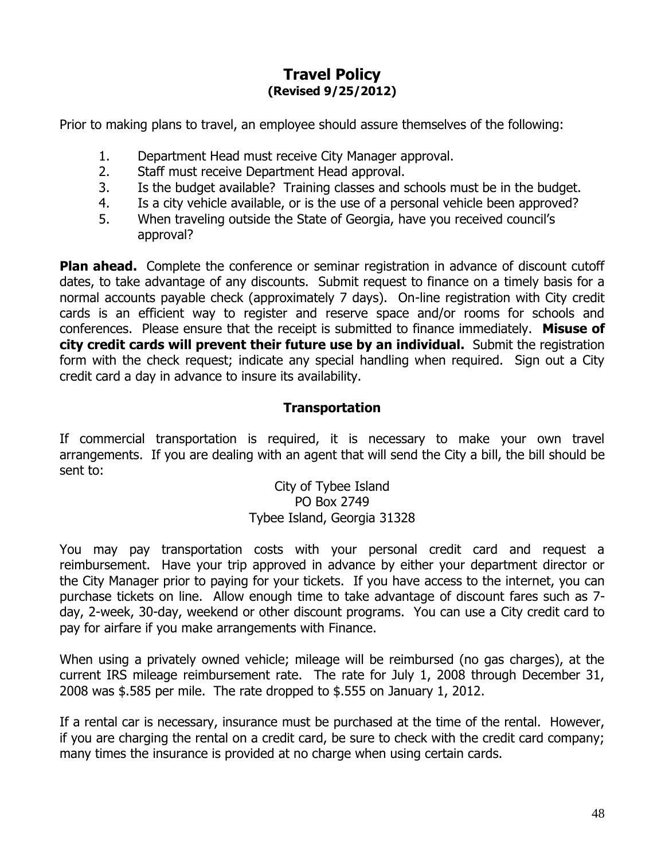### **Travel Policy (Revised 9/25/2012)**

Prior to making plans to travel, an employee should assure themselves of the following:

- 1. Department Head must receive City Manager approval.
- 2. Staff must receive Department Head approval.
- 3. Is the budget available? Training classes and schools must be in the budget.
- 4. Is a city vehicle available, or is the use of a personal vehicle been approved?
- 5. When traveling outside the State of Georgia, have you received council's approval?

**Plan ahead.** Complete the conference or seminar registration in advance of discount cutoff dates, to take advantage of any discounts. Submit request to finance on a timely basis for a normal accounts payable check (approximately 7 days). On-line registration with City credit cards is an efficient way to register and reserve space and/or rooms for schools and conferences. Please ensure that the receipt is submitted to finance immediately. **Misuse of city credit cards will prevent their future use by an individual.** Submit the registration form with the check request; indicate any special handling when required. Sign out a City credit card a day in advance to insure its availability.

### **Transportation**

If commercial transportation is required, it is necessary to make your own travel arrangements. If you are dealing with an agent that will send the City a bill, the bill should be sent to:

> City of Tybee Island PO Box 2749 Tybee Island, Georgia 31328

You may pay transportation costs with your personal credit card and request a reimbursement. Have your trip approved in advance by either your department director or the City Manager prior to paying for your tickets. If you have access to the internet, you can purchase tickets on line. Allow enough time to take advantage of discount fares such as 7 day, 2-week, 30-day, weekend or other discount programs. You can use a City credit card to pay for airfare if you make arrangements with Finance.

When using a privately owned vehicle; mileage will be reimbursed (no gas charges), at the current IRS mileage reimbursement rate. The rate for July 1, 2008 through December 31, 2008 was \$.585 per mile. The rate dropped to \$.555 on January 1, 2012.

If a rental car is necessary, insurance must be purchased at the time of the rental. However, if you are charging the rental on a credit card, be sure to check with the credit card company; many times the insurance is provided at no charge when using certain cards.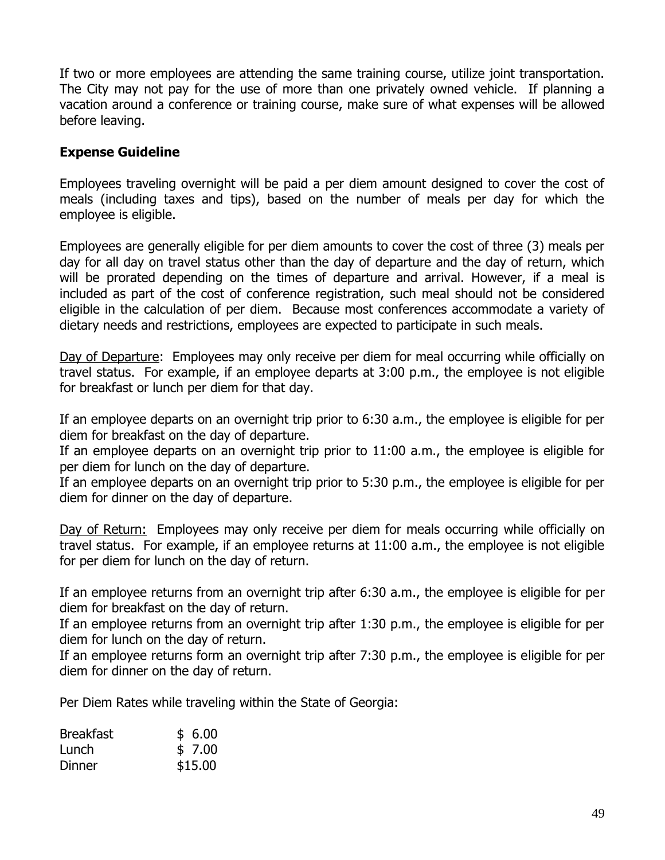If two or more employees are attending the same training course, utilize joint transportation. The City may not pay for the use of more than one privately owned vehicle. If planning a vacation around a conference or training course, make sure of what expenses will be allowed before leaving.

#### **Expense Guideline**

Employees traveling overnight will be paid a per diem amount designed to cover the cost of meals (including taxes and tips), based on the number of meals per day for which the employee is eligible.

Employees are generally eligible for per diem amounts to cover the cost of three (3) meals per day for all day on travel status other than the day of departure and the day of return, which will be prorated depending on the times of departure and arrival. However, if a meal is included as part of the cost of conference registration, such meal should not be considered eligible in the calculation of per diem. Because most conferences accommodate a variety of dietary needs and restrictions, employees are expected to participate in such meals.

Day of Departure: Employees may only receive per diem for meal occurring while officially on travel status. For example, if an employee departs at 3:00 p.m., the employee is not eligible for breakfast or lunch per diem for that day.

If an employee departs on an overnight trip prior to 6:30 a.m., the employee is eligible for per diem for breakfast on the day of departure.

If an employee departs on an overnight trip prior to 11:00 a.m., the employee is eligible for per diem for lunch on the day of departure.

If an employee departs on an overnight trip prior to 5:30 p.m., the employee is eligible for per diem for dinner on the day of departure.

Day of Return: Employees may only receive per diem for meals occurring while officially on travel status. For example, if an employee returns at 11:00 a.m., the employee is not eligible for per diem for lunch on the day of return.

If an employee returns from an overnight trip after 6:30 a.m., the employee is eligible for per diem for breakfast on the day of return.

If an employee returns from an overnight trip after 1:30 p.m., the employee is eligible for per diem for lunch on the day of return.

If an employee returns form an overnight trip after 7:30 p.m., the employee is eligible for per diem for dinner on the day of return.

Per Diem Rates while traveling within the State of Georgia:

| <b>Breakfast</b> | \$6.00  |
|------------------|---------|
| Lunch            | \$7.00  |
| Dinner           | \$15.00 |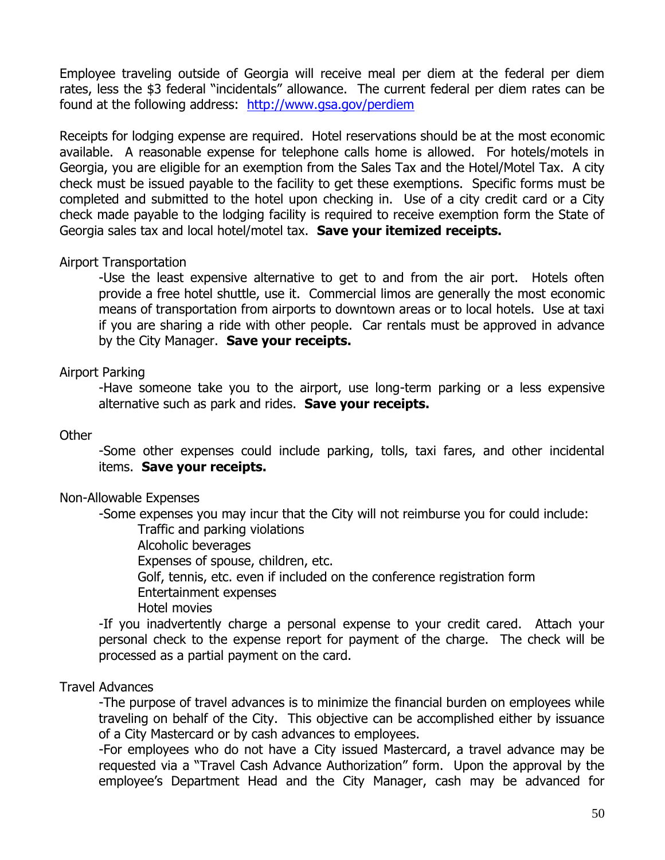Employee traveling outside of Georgia will receive meal per diem at the federal per diem rates, less the \$3 federal "incidentals" allowance. The current federal per diem rates can be found at the following address: <http://www.gsa.gov/perdiem>

Receipts for lodging expense are required. Hotel reservations should be at the most economic available. A reasonable expense for telephone calls home is allowed. For hotels/motels in Georgia, you are eligible for an exemption from the Sales Tax and the Hotel/Motel Tax. A city check must be issued payable to the facility to get these exemptions. Specific forms must be completed and submitted to the hotel upon checking in. Use of a city credit card or a City check made payable to the lodging facility is required to receive exemption form the State of Georgia sales tax and local hotel/motel tax. **Save your itemized receipts.**

#### Airport Transportation

-Use the least expensive alternative to get to and from the air port. Hotels often provide a free hotel shuttle, use it. Commercial limos are generally the most economic means of transportation from airports to downtown areas or to local hotels. Use at taxi if you are sharing a ride with other people. Car rentals must be approved in advance by the City Manager. **Save your receipts.**

#### Airport Parking

-Have someone take you to the airport, use long-term parking or a less expensive alternative such as park and rides. **Save your receipts.**

#### **Other**

-Some other expenses could include parking, tolls, taxi fares, and other incidental items. **Save your receipts.**

#### Non-Allowable Expenses

-Some expenses you may incur that the City will not reimburse you for could include:

Traffic and parking violations

Alcoholic beverages

Expenses of spouse, children, etc.

Golf, tennis, etc. even if included on the conference registration form

Entertainment expenses

Hotel movies

-If you inadvertently charge a personal expense to your credit cared. Attach your personal check to the expense report for payment of the charge. The check will be processed as a partial payment on the card.

#### Travel Advances

-The purpose of travel advances is to minimize the financial burden on employees while traveling on behalf of the City. This objective can be accomplished either by issuance of a City Mastercard or by cash advances to employees.

-For employees who do not have a City issued Mastercard, a travel advance may be requested via a "Travel Cash Advance Authorization" form. Upon the approval by the employee's Department Head and the City Manager, cash may be advanced for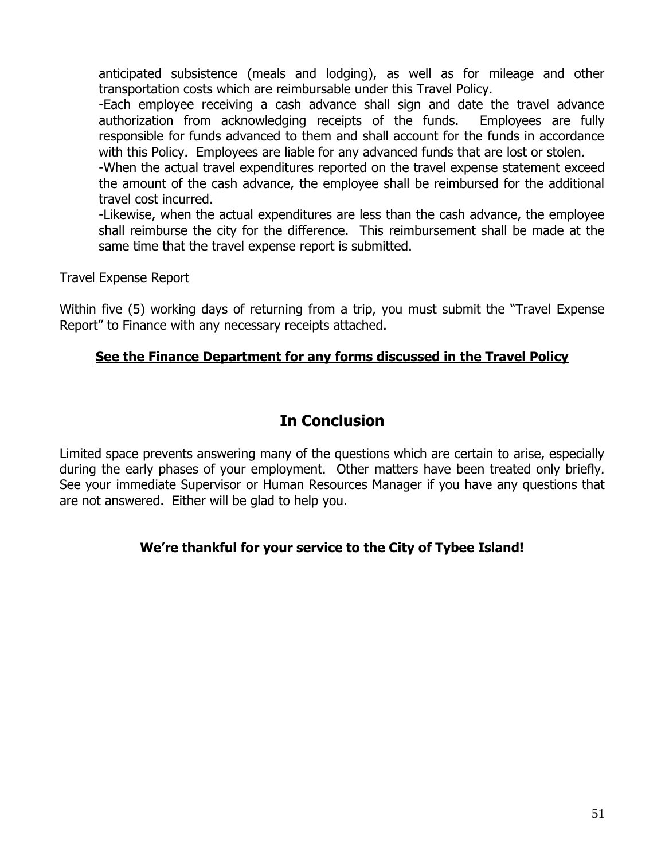anticipated subsistence (meals and lodging), as well as for mileage and other transportation costs which are reimbursable under this Travel Policy.

-Each employee receiving a cash advance shall sign and date the travel advance authorization from acknowledging receipts of the funds. Employees are fully responsible for funds advanced to them and shall account for the funds in accordance with this Policy. Employees are liable for any advanced funds that are lost or stolen.

-When the actual travel expenditures reported on the travel expense statement exceed the amount of the cash advance, the employee shall be reimbursed for the additional travel cost incurred.

-Likewise, when the actual expenditures are less than the cash advance, the employee shall reimburse the city for the difference. This reimbursement shall be made at the same time that the travel expense report is submitted.

#### Travel Expense Report

Within five (5) working days of returning from a trip, you must submit the "Travel Expense Report" to Finance with any necessary receipts attached.

### **See the Finance Department for any forms discussed in the Travel Policy**

## **In Conclusion**

Limited space prevents answering many of the questions which are certain to arise, especially during the early phases of your employment. Other matters have been treated only briefly. See your immediate Supervisor or Human Resources Manager if you have any questions that are not answered. Either will be glad to help you.

### **We're thankful for your service to the City of Tybee Island!**